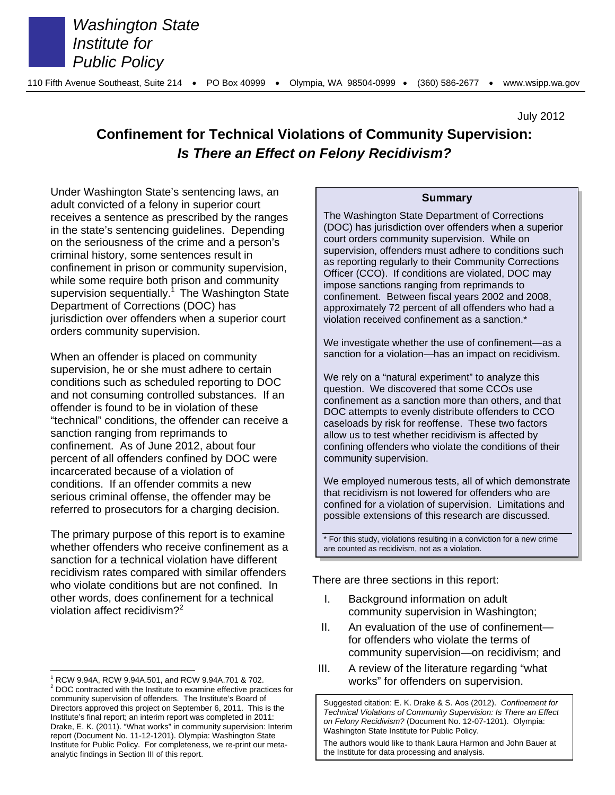

*Washington State Institute for Public Policy*

July 2012

# **Confinement for Technical Violations of Community Supervision:**  *Is There an Effect on Felony Recidivism?*

Under Washington State's sentencing laws, an adult convicted of a felony in superior court receives a sentence as prescribed by the ranges in the state's sentencing guidelines. Depending on the seriousness of the crime and a person's criminal history, some sentences result in confinement in prison or community supervision, while some require both prison and community supervision sequentially.<sup>1</sup> The Washington State Department of Corrections (DOC) has jurisdiction over offenders when a superior court orders community supervision.

When an offender is placed on community supervision, he or she must adhere to certain conditions such as scheduled reporting to DOC and not consuming controlled substances. If an offender is found to be in violation of these "technical" conditions, the offender can receive a sanction ranging from reprimands to confinement. As of June 2012, about four percent of all offenders confined by DOC were incarcerated because of a violation of conditions. If an offender commits a new serious criminal offense, the offender may be referred to prosecutors for a charging decision.

The primary purpose of this report is to examine whether offenders who receive confinement as a sanction for a technical violation have different recidivism rates compared with similar offenders who violate conditions but are not confined. In other words, does confinement for a technical violation affect recidivism? $2^2$ 

#### **Summary**

The Washington State Department of Corrections (DOC) has jurisdiction over offenders when a superior court orders community supervision. While on supervision, offenders must adhere to conditions such as reporting regularly to their Community Corrections Officer (CCO). If conditions are violated, DOC may impose sanctions ranging from reprimands to confinement. Between fiscal years 2002 and 2008, approximately 72 percent of all offenders who had a violation received confinement as a sanction.\*

We investigate whether the use of confinement—as a sanction for a violation—has an impact on recidivism.

We rely on a "natural experiment" to analyze this question. We discovered that some CCOs use confinement as a sanction more than others, and that DOC attempts to evenly distribute offenders to CCO caseloads by risk for reoffense. These two factors allow us to test whether recidivism is affected by confining offenders who violate the conditions of their community supervision.

We employed numerous tests, all of which demonstrate that recidivism is not lowered for offenders who are confined for a violation of supervision. Limitations and possible extensions of this research are discussed.

\* For this study, violations resulting in a conviction for a new crime are counted as recidivism, not as a violation.

There are three sections in this report:

- I. Background information on adult community supervision in Washington;
- II. An evaluation of the use of confinement for offenders who violate the terms of community supervision—on recidivism; and
- III. A review of the literature regarding "what works" for offenders on supervision.

The authors would like to thank Laura Harmon and John Bauer at the Institute for data processing and analysis.

 $\overline{a}$ 1 RCW 9.94A, RCW 9.94A.501, and RCW 9.94A.701 & 702.  $2$  DOC contracted with the Institute to examine effective practices for community supervision of offenders. The Institute's Board of Directors approved this project on September 6, 2011. This is the Institute's final report; an interim report was completed in 2011: Drake, E. K. (2011). "What works" in community supervision: Interim report (Document No. 11-12-1201). Olympia: Washington State Institute for Public Policy. For completeness, we re-print our metaanalytic findings in Section III of this report.

Suggested citation: E. K. Drake & S. Aos (2012). *Confinement for Technical Violations of Community Supervision: Is There an Effect on Felony Recidivism?* (Document No. 12-07-1201). Olympia: Washington State Institute for Public Policy.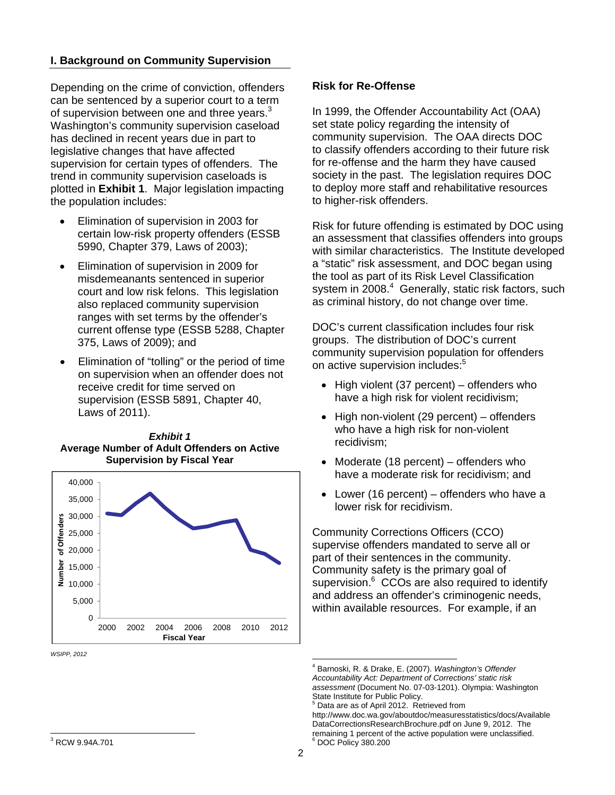# **I. Background on Community Supervision**

Depending on the crime of conviction, offenders can be sentenced by a superior court to a term of supervision between one and three years. $3$ Washington's community supervision caseload has declined in recent years due in part to legislative changes that have affected supervision for certain types of offenders. The trend in community supervision caseloads is plotted in **Exhibit 1**. Major legislation impacting the population includes:

- Elimination of supervision in 2003 for certain low-risk property offenders (ESSB 5990, Chapter 379, Laws of 2003);
- Elimination of supervision in 2009 for misdemeanants sentenced in superior court and low risk felons. This legislation also replaced community supervision ranges with set terms by the offender's current offense type (ESSB 5288, Chapter 375, Laws of 2009); and
- Elimination of "tolling" or the period of time on supervision when an offender does not receive credit for time served on supervision (ESSB 5891, Chapter 40, Laws of 2011).





*WSIPP, 2012* 

#### **Risk for Re-Offense**

In 1999, the Offender Accountability Act (OAA) set state policy regarding the intensity of community supervision. The OAA directs DOC to classify offenders according to their future risk for re-offense and the harm they have caused society in the past. The legislation requires DOC to deploy more staff and rehabilitative resources to higher-risk offenders.

Risk for future offending is estimated by DOC using an assessment that classifies offenders into groups with similar characteristics. The Institute developed a "static" risk assessment, and DOC began using the tool as part of its Risk Level Classification system in 2008.<sup>4</sup> Generally, static risk factors, such as criminal history, do not change over time.

DOC's current classification includes four risk groups. The distribution of DOC's current community supervision population for offenders on active supervision includes:<sup>5</sup>

- $\bullet$  High violent (37 percent) offenders who have a high risk for violent recidivism;
- $\bullet$  High non-violent (29 percent) offenders who have a high risk for non-violent recidivism;
- Moderate (18 percent) offenders who have a moderate risk for recidivism; and
- Lower (16 percent) offenders who have a lower risk for recidivism.

Community Corrections Officers (CCO) supervise offenders mandated to serve all or part of their sentences in the community. Community safety is the primary goal of supervision.<sup>6</sup> CCOs are also required to identify and address an offender's criminogenic needs, within available resources. For example, if an

 4 Barnoski, R. & Drake, E. (2007). *Washington's Offender Accountability Act: Department of Corrections' static risk assessment* (Document No. 07-03-1201). Olympia: Washington State Institute for Public Policy.

<sup>5</sup> Data are as of April 2012. Retrieved from

http://www.doc.wa.gov/aboutdoc/measuresstatistics/docs/Available DataCorrectionsResearchBrochure.pdf on June 9, 2012. The remaining 1 percent of the active population were unclassified. 6 DOC Policy 380.200

 3 RCW 9.94A.701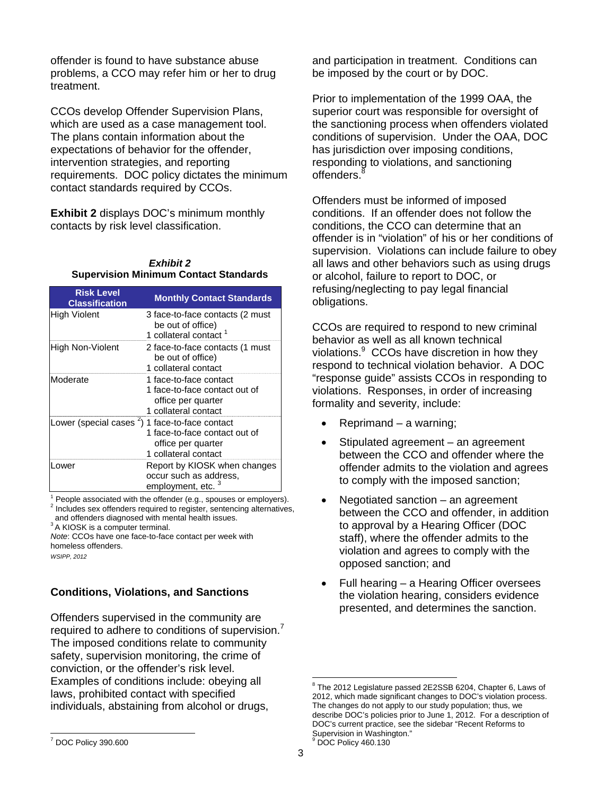offender is found to have substance abuse problems, a CCO may refer him or her to drug treatment.

CCOs develop Offender Supervision Plans, which are used as a case management tool. The plans contain information about the expectations of behavior for the offender, intervention strategies, and reporting requirements. DOC policy dictates the minimum contact standards required by CCOs.

**Exhibit 2** displays DOC's minimum monthly contacts by risk level classification.

### *Exhibit 2*  **Supervision Minimum Contact Standards**

| <b>Risk Level</b><br><b>Classification</b>                 | <b>Monthly Contact Standards</b>                                                                      |
|------------------------------------------------------------|-------------------------------------------------------------------------------------------------------|
| <b>High Violent</b>                                        | 3 face-to-face contacts (2 must<br>be out of office)<br>1 collateral contact <sup>1</sup>             |
| <b>High Non-Violent</b>                                    | 2 face-to-face contacts (1 must<br>be out of office)<br>1 collateral contact                          |
| Moderate                                                   | 1 face-to-face contact<br>1 face-to-face contact out of<br>office per quarter<br>1 collateral contact |
| Lower (special cases <sup>2</sup> ) 1 face-to-face contact | 1 face-to-face contact out of<br>office per quarter<br>1 collateral contact                           |
| Lower                                                      | Report by KIOSK when changes<br>occur such as address.<br>employment, etc.                            |

 $1$  People associated with the offender (e.g., spouses or employers). <sup>2</sup> Includes sex offenders required to register, sentencing alternatives,

and offenders diagnosed with mental health issues.<br><sup>3</sup> A KIOSK is a computer terminal.

*Note*: CCOs have one face-to-face contact per week with homeless offenders.

*WSIPP, 2012* 

# **Conditions, Violations, and Sanctions**

Offenders supervised in the community are required to adhere to conditions of supervision. $<sup>7</sup>$ </sup> The imposed conditions relate to community safety, supervision monitoring, the crime of conviction, or the offender's risk level. Examples of conditions include: obeying all laws, prohibited contact with specified individuals, abstaining from alcohol or drugs,

and participation in treatment. Conditions can be imposed by the court or by DOC.

Prior to implementation of the 1999 OAA, the superior court was responsible for oversight of the sanctioning process when offenders violated conditions of supervision. Under the OAA, DOC has jurisdiction over imposing conditions, responding to violations, and sanctioning offenders.<sup>8</sup>

Offenders must be informed of imposed conditions. If an offender does not follow the conditions, the CCO can determine that an offender is in "violation" of his or her conditions of supervision. Violations can include failure to obey all laws and other behaviors such as using drugs or alcohol, failure to report to DOC, or refusing/neglecting to pay legal financial obligations.

CCOs are required to respond to new criminal behavior as well as all known technical violations.<sup>9</sup> CCOs have discretion in how they respond to technical violation behavior. A DOC "response guide" assists CCOs in responding to violations. Responses, in order of increasing formality and severity, include:

- Reprimand a warning;
- Stipulated agreement an agreement between the CCO and offender where the offender admits to the violation and agrees to comply with the imposed sanction;
- Negotiated sanction an agreement between the CCO and offender, in addition to approval by a Hearing Officer (DOC staff), where the offender admits to the violation and agrees to comply with the opposed sanction; and
- Full hearing a Hearing Officer oversees the violation hearing, considers evidence presented, and determines the sanction.

<sup>&</sup>lt;sup>8</sup> The 2012 Legislature passed 2E2SSB 6204, Chapter 6, Laws of 2012, which made significant changes to DOC's violation process. The changes do not apply to our study population; thus, we describe DOC's policies prior to June 1, 2012. For a description of DOC's current practice, see the sidebar "Recent Reforms to Supervision in Washington." <sup>9</sup> DOC Policy 460.130

 <sup>7</sup> DOC Policy 390.600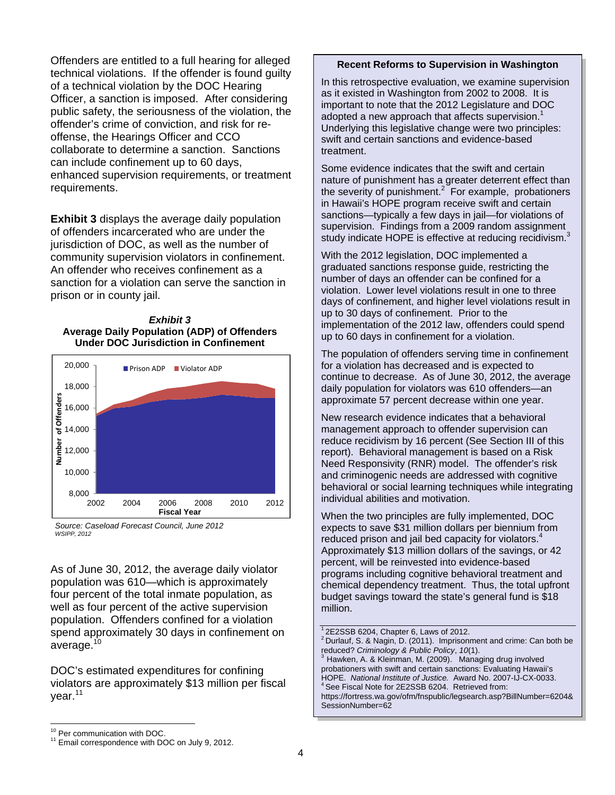Offenders are entitled to a full hearing for alleged technical violations. If the offender is found guilty of a technical violation by the DOC Hearing Officer, a sanction is imposed. After considering public safety, the seriousness of the violation, the offender's crime of conviction, and risk for reoffense, the Hearings Officer and CCO collaborate to determine a sanction. Sanctions can include confinement up to 60 days, enhanced supervision requirements, or treatment requirements.

**Exhibit 3** displays the average daily population of offenders incarcerated who are under the jurisdiction of DOC, as well as the number of community supervision violators in confinement. An offender who receives confinement as a sanction for a violation can serve the sanction in prison or in county jail.







As of June 30, 2012, the average daily violator population was 610—which is approximately four percent of the total inmate population, as well as four percent of the active supervision population. Offenders confined for a violation spend approximately 30 days in confinement on average.<sup>10</sup>

DOC's estimated expenditures for confining violators are approximately \$13 million per fiscal year.<sup>11</sup>

In this retrospective evaluation, we examine supervision as it existed in Washington from 2002 to 2008. It is important to note that the 2012 Legislature and DOC adopted a new approach that affects supervision.<sup>1</sup> Underlying this legislative change were two principles: swift and certain sanctions and evidence-based treatment.

Some evidence indicates that the swift and certain nature of punishment has a greater deterrent effect than the severity of punishment. $2$  For example, probationers in Hawaii's HOPE program receive swift and certain sanctions—typically a few days in jail—for violations of supervision. Findings from a 2009 random assignment study indicate HOPE is effective at reducing recidivism. $3$ 

With the 2012 legislation, DOC implemented a graduated sanctions response guide, restricting the number of days an offender can be confined for a violation. Lower level violations result in one to three days of confinement, and higher level violations result in up to 30 days of confinement. Prior to the implementation of the 2012 law, offenders could spend up to 60 days in confinement for a violation.

The population of offenders serving time in confinement for a violation has decreased and is expected to continue to decrease. As of June 30, 2012, the average daily population for violators was 610 offenders—an approximate 57 percent decrease within one year.

New research evidence indicates that a behavioral management approach to offender supervision can reduce recidivism by 16 percent (See Section III of this report). Behavioral management is based on a Risk Need Responsivity (RNR) model. The offender's risk and criminogenic needs are addressed with cognitive behavioral or social learning techniques while integrating individual abilities and motivation.

When the two principles are fully implemented, DOC expects to save \$31 million dollars per biennium from reduced prison and jail bed capacity for violators. $4$ Approximately \$13 million dollars of the savings, or 42 percent, will be reinvested into evidence-based programs including cognitive behavioral treatment and chemical dependency treatment. Thus, the total upfront budget savings toward the state's general fund is \$18 million.

1 2E2SSB 6204, Chapter 6, Laws of 2012.

**Recent Reforms to Supervision in Washington**

<sup>&</sup>lt;sup>2</sup> Durlauf, S. & Nagin, D. (2011). Imprisonment and crime: Can both be reduced? Criminology & Public Policy, 10(1).

Hawken, A. & Kleinman, M. (2009). Managing drug involved probationers with swift and certain sanctions: Evaluating Hawaii's HOPE. *National Institute of Justice.* Award No. 2007-IJ-CX-0033. 4 See Fiscal Note for 2E2SSB 6204. Retrieved from:

https://fortress.wa.gov/ofm/fnspublic/legsearch.asp?BillNumber=6204& SessionNumber=62

<sup>&</sup>lt;sup>10</sup> Per communication with DOC.

 $11$  Email correspondence with DOC on July 9, 2012.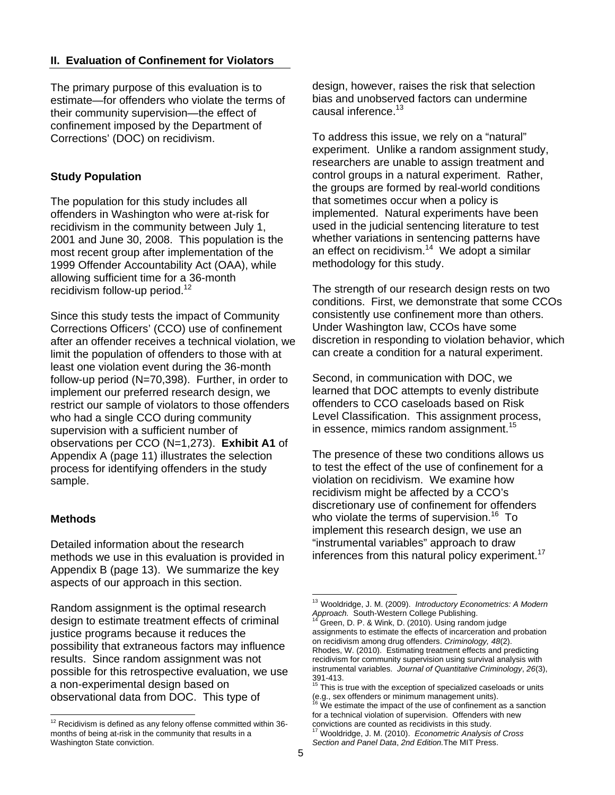# **II. Evaluation of Confinement for Violators**

The primary purpose of this evaluation is to estimate—for offenders who violate the terms of their community supervision—the effect of confinement imposed by the Department of Corrections' (DOC) on recidivism.

# **Study Population**

The population for this study includes all offenders in Washington who were at-risk for recidivism in the community between July 1, 2001 and June 30, 2008. This population is the most recent group after implementation of the 1999 Offender Accountability Act (OAA), while allowing sufficient time for a 36-month recidivism follow-up period. $12$ 

Since this study tests the impact of Community Corrections Officers' (CCO) use of confinement after an offender receives a technical violation, we limit the population of offenders to those with at least one violation event during the 36-month follow-up period (N=70,398). Further, in order to implement our preferred research design, we restrict our sample of violators to those offenders who had a single CCO during community supervision with a sufficient number of observations per CCO (N=1,273). **Exhibit A1** of Appendix A (page 11) illustrates the selection process for identifying offenders in the study sample.

# **Methods**

Detailed information about the research methods we use in this evaluation is provided in Appendix B (page 13). We summarize the key aspects of our approach in this section.

Random assignment is the optimal research design to estimate treatment effects of criminal justice programs because it reduces the possibility that extraneous factors may influence results. Since random assignment was not possible for this retrospective evaluation, we use a non-experimental design based on observational data from DOC. This type of

design, however, raises the risk that selection bias and unobserved factors can undermine causal inference.<sup>13</sup>

To address this issue, we rely on a "natural" experiment. Unlike a random assignment study, researchers are unable to assign treatment and control groups in a natural experiment. Rather, the groups are formed by real-world conditions that sometimes occur when a policy is implemented. Natural experiments have been used in the judicial sentencing literature to test whether variations in sentencing patterns have an effect on recidivism. $14$  We adopt a similar methodology for this study.

The strength of our research design rests on two conditions. First, we demonstrate that some CCOs consistently use confinement more than others. Under Washington law, CCOs have some discretion in responding to violation behavior, which can create a condition for a natural experiment.

Second, in communication with DOC, we learned that DOC attempts to evenly distribute offenders to CCO caseloads based on Risk Level Classification. This assignment process, in essence, mimics random assignment.<sup>15</sup>

The presence of these two conditions allows us to test the effect of the use of confinement for a violation on recidivism. We examine how recidivism might be affected by a CCO's discretionary use of confinement for offenders who violate the terms of supervision.<sup>16</sup> To implement this research design, we use an "instrumental variables" approach to draw inferences from this natural policy experiment.<sup>17</sup>

 $12$  Recidivism is defined as any felony offense committed within 36months of being at-risk in the community that results in a Washington State conviction.

<sup>13</sup> Wooldridge, J. M. (2009). *Introductory Econometrics: A Modern Approach.* South-Western College Publishing. 14 Green, D. P. & Wink, D. (2010). Using random judge

assignments to estimate the effects of incarceration and probation on recidivism among drug offenders. *Criminology, 48*(2). Rhodes, W. (2010). Estimating treatment effects and predicting recidivism for community supervision using survival analysis with instrumental variables. *Journal of Quantitative Criminology*, *26*(3), 391-413.

 $15$  This is true with the exception of specialized caseloads or units (e.g., sex offenders or minimum management units).

We estimate the impact of the use of confinement as a sanction for a technical violation of supervision. Offenders with new convictions are counted as recidivists in this study.

Wooldridge, J. M. (2010). *Econometric Analysis of Cross Section and Panel Data*, *2nd Edition.*The MIT Press.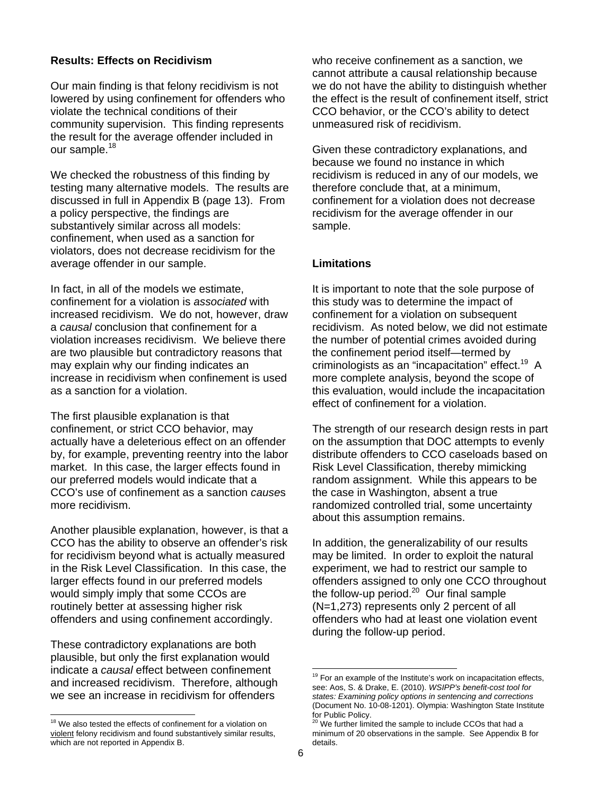# **Results: Effects on Recidivism**

Our main finding is that felony recidivism is not lowered by using confinement for offenders who violate the technical conditions of their community supervision. This finding represents the result for the average offender included in our sample.<sup>18</sup>

We checked the robustness of this finding by testing many alternative models. The results are discussed in full in Appendix B (page 13). From a policy perspective, the findings are substantively similar across all models: confinement, when used as a sanction for violators, does not decrease recidivism for the average offender in our sample.

In fact, in all of the models we estimate, confinement for a violation is *associated* with increased recidivism. We do not, however, draw a *causal* conclusion that confinement for a violation increases recidivism. We believe there are two plausible but contradictory reasons that may explain why our finding indicates an increase in recidivism when confinement is used as a sanction for a violation.

The first plausible explanation is that confinement, or strict CCO behavior, may actually have a deleterious effect on an offender by, for example, preventing reentry into the labor market. In this case, the larger effects found in our preferred models would indicate that a CCO's use of confinement as a sanction *cause*s more recidivism.

Another plausible explanation, however, is that a CCO has the ability to observe an offender's risk for recidivism beyond what is actually measured in the Risk Level Classification. In this case, the larger effects found in our preferred models would simply imply that some CCOs are routinely better at assessing higher risk offenders and using confinement accordingly.

These contradictory explanations are both plausible, but only the first explanation would indicate a *causal* effect between confinement and increased recidivism. Therefore, although we see an increase in recidivism for offenders

who receive confinement as a sanction, we cannot attribute a causal relationship because we do not have the ability to distinguish whether the effect is the result of confinement itself, strict CCO behavior, or the CCO's ability to detect unmeasured risk of recidivism.

Given these contradictory explanations, and because we found no instance in which recidivism is reduced in any of our models, we therefore conclude that, at a minimum, confinement for a violation does not decrease recidivism for the average offender in our sample.

# **Limitations**

It is important to note that the sole purpose of this study was to determine the impact of confinement for a violation on subsequent recidivism. As noted below, we did not estimate the number of potential crimes avoided during the confinement period itself—termed by criminologists as an "incapacitation" effect.<sup>19</sup> A more complete analysis, beyond the scope of this evaluation, would include the incapacitation effect of confinement for a violation.

The strength of our research design rests in part on the assumption that DOC attempts to evenly distribute offenders to CCO caseloads based on Risk Level Classification, thereby mimicking random assignment. While this appears to be the case in Washington, absent a true randomized controlled trial, some uncertainty about this assumption remains.

In addition, the generalizability of our results may be limited. In order to exploit the natural experiment, we had to restrict our sample to offenders assigned to only one CCO throughout the follow-up period.20 Our final sample (N=1,273) represents only 2 percent of all offenders who had at least one violation event during the follow-up period.

 $\overline{a}$ 

 <sup>18</sup> We also tested the effects of confinement for a violation on violent felony recidivism and found substantively similar results, which are not reported in Appendix B.

 $19$  For an example of the Institute's work on incapacitation effects, see: Aos, S. & Drake, E. (2010). *WSIPP's benefit-cost tool for states: Examining policy options in sentencing and corrections* (Document No. 10-08-1201). Olympia: Washington State Institute for Public Policy.

<sup>&</sup>lt;sup>20</sup> We further limited the sample to include CCOs that had a minimum of 20 observations in the sample. See Appendix B for details.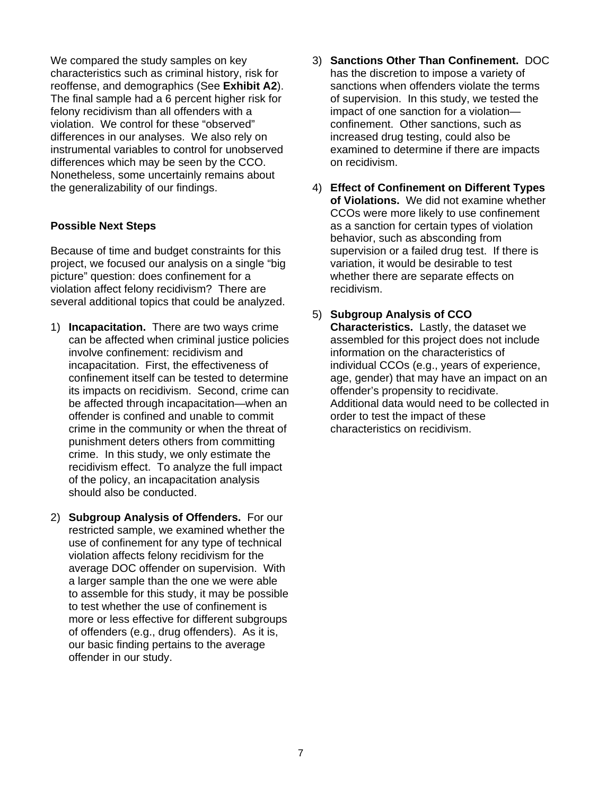We compared the study samples on key characteristics such as criminal history, risk for reoffense, and demographics (See **Exhibit A2**). The final sample had a 6 percent higher risk for felony recidivism than all offenders with a violation. We control for these "observed" differences in our analyses. We also rely on instrumental variables to control for unobserved differences which may be seen by the CCO. Nonetheless, some uncertainly remains about the generalizability of our findings.

# **Possible Next Steps**

Because of time and budget constraints for this project, we focused our analysis on a single "big picture" question: does confinement for a violation affect felony recidivism? There are several additional topics that could be analyzed.

- 1) **Incapacitation.** There are two ways crime can be affected when criminal justice policies involve confinement: recidivism and incapacitation. First, the effectiveness of confinement itself can be tested to determine its impacts on recidivism. Second, crime can be affected through incapacitation—when an offender is confined and unable to commit crime in the community or when the threat of punishment deters others from committing crime. In this study, we only estimate the recidivism effect. To analyze the full impact of the policy, an incapacitation analysis should also be conducted.
- 2) **Subgroup Analysis of Offenders.** For our restricted sample, we examined whether the use of confinement for any type of technical violation affects felony recidivism for the average DOC offender on supervision. With a larger sample than the one we were able to assemble for this study, it may be possible to test whether the use of confinement is more or less effective for different subgroups of offenders (e.g., drug offenders). As it is, our basic finding pertains to the average offender in our study.
- 3) **Sanctions Other Than Confinement.** DOC has the discretion to impose a variety of sanctions when offenders violate the terms of supervision. In this study, we tested the impact of one sanction for a violation confinement. Other sanctions, such as increased drug testing, could also be examined to determine if there are impacts on recidivism.
- 4) **Effect of Confinement on Different Types of Violations.** We did not examine whether CCOs were more likely to use confinement as a sanction for certain types of violation behavior, such as absconding from supervision or a failed drug test. If there is variation, it would be desirable to test whether there are separate effects on recidivism.
- 5) **Subgroup Analysis of CCO Characteristics.** Lastly, the dataset we assembled for this project does not include information on the characteristics of individual CCOs (e.g., years of experience, age, gender) that may have an impact on an offender's propensity to recidivate. Additional data would need to be collected in order to test the impact of these characteristics on recidivism.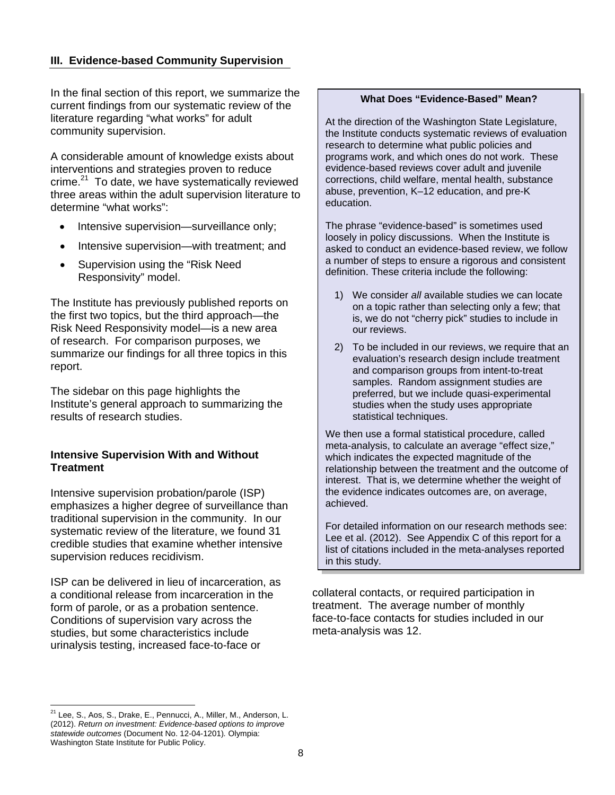# **III. Evidence-based Community Supervision**

In the final section of this report, we summarize the current findings from our systematic review of the literature regarding "what works" for adult community supervision.

A considerable amount of knowledge exists about interventions and strategies proven to reduce crime. $21$  To date, we have systematically reviewed three areas within the adult supervision literature to determine "what works":

- Intensive supervision—surveillance only;
- Intensive supervision—with treatment; and
- Supervision using the "Risk Need Responsivity" model.

The Institute has previously published reports on the first two topics, but the third approach—the Risk Need Responsivity model—is a new area of research. For comparison purposes, we summarize our findings for all three topics in this report.

The sidebar on this page highlights the Institute's general approach to summarizing the results of research studies.

### **Intensive Supervision With and Without Treatment**

Intensive supervision probation/parole (ISP) emphasizes a higher degree of surveillance than traditional supervision in the community. In our systematic review of the literature, we found 31 credible studies that examine whether intensive supervision reduces recidivism.

ISP can be delivered in lieu of incarceration, as a conditional release from incarceration in the form of parole, or as a probation sentence. Conditions of supervision vary across the studies, but some characteristics include urinalysis testing, increased face-to-face or

#### **What Does "Evidence-Based" Mean?**

At the direction of the Washington State Legislature, the Institute conducts systematic reviews of evaluation research to determine what public policies and programs work, and which ones do not work. These evidence-based reviews cover adult and juvenile corrections, child welfare, mental health, substance abuse, prevention, K–12 education, and pre-K education.

The phrase "evidence-based" is sometimes used loosely in policy discussions. When the Institute is asked to conduct an evidence-based review, we follow a number of steps to ensure a rigorous and consistent definition. These criteria include the following:

- 1) We consider *all* available studies we can locate on a topic rather than selecting only a few; that is, we do not "cherry pick" studies to include in our reviews.
- 2) To be included in our reviews, we require that an evaluation's research design include treatment and comparison groups from intent-to-treat samples. Random assignment studies are preferred, but we include quasi-experimental studies when the study uses appropriate statistical techniques.

We then use a formal statistical procedure, called meta-analysis, to calculate an average "effect size," which indicates the expected magnitude of the relationship between the treatment and the outcome of interest. That is, we determine whether the weight of the evidence indicates outcomes are, on average, achieved.

For detailed information on our research methods see: Lee et al. (2012). See Appendix C of this report for a list of citations included in the meta-analyses reported in this study.

collateral contacts, or required participation in treatment. The average number of monthly face-to-face contacts for studies included in our meta-analysis was 12.

 $\overline{a}$ <sup>21</sup> Lee, S., Aos, S., Drake, E., Pennucci, A., Miller, M., Anderson, L. (2012). *Return on investment: Evidence-based options to improve statewide outcomes* (Document No. 12-04-1201)*.* Olympia: Washington State Institute for Public Policy.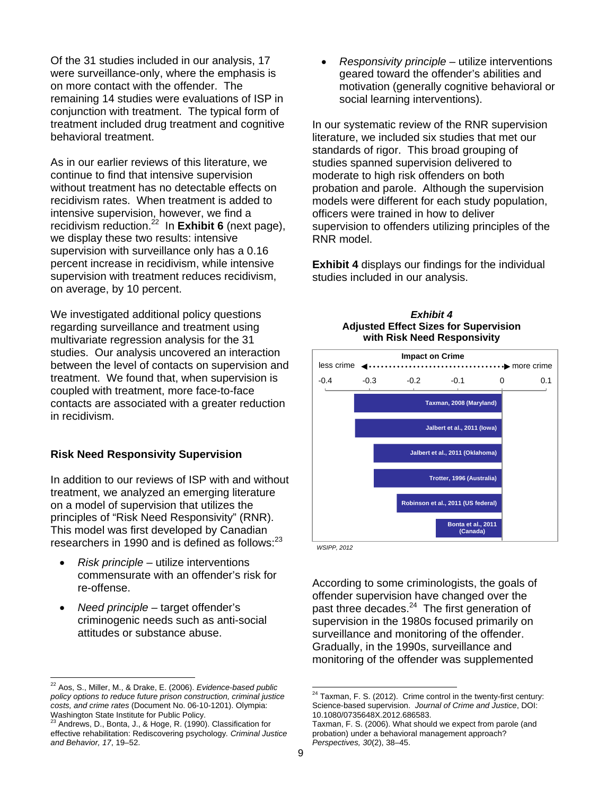Of the 31 studies included in our analysis, 17 were surveillance-only, where the emphasis is on more contact with the offender. The remaining 14 studies were evaluations of ISP in conjunction with treatment. The typical form of treatment included drug treatment and cognitive behavioral treatment.

As in our earlier reviews of this literature, we continue to find that intensive supervision without treatment has no detectable effects on recidivism rates. When treatment is added to intensive supervision, however, we find a recidivism reduction.22 In **Exhibit 6** (next page), we display these two results: intensive supervision with surveillance only has a 0.16 percent increase in recidivism, while intensive supervision with treatment reduces recidivism, on average, by 10 percent.

We investigated additional policy questions regarding surveillance and treatment using multivariate regression analysis for the 31 studies. Our analysis uncovered an interaction between the level of contacts on supervision and treatment. We found that, when supervision is coupled with treatment, more face-to-face contacts are associated with a greater reduction in recidivism.

#### **Risk Need Responsivity Supervision**

In addition to our reviews of ISP with and without treatment, we analyzed an emerging literature on a model of supervision that utilizes the principles of "Risk Need Responsivity" (RNR). This model was first developed by Canadian researchers in 1990 and is defined as follows:<sup>23</sup>

- *Risk principle* utilize interventions commensurate with an offender's risk for re-offense.
- *Need principle* target offender's criminogenic needs such as anti-social attitudes or substance abuse.

 *Responsivity principle* – utilize interventions geared toward the offender's abilities and motivation (generally cognitive behavioral or social learning interventions).

In our systematic review of the RNR supervision literature, we included six studies that met our standards of rigor. This broad grouping of studies spanned supervision delivered to moderate to high risk offenders on both probation and parole. Although the supervision models were different for each study population, officers were trained in how to deliver supervision to offenders utilizing principles of the RNR model.

**Exhibit 4** displays our findings for the individual studies included in our analysis.

> *Exhibit 4*  **Adjusted Effect Sizes for Supervision**



*WSIPP, 2012* 

According to some criminologists, the goals of offender supervision have changed over the past three decades.<sup>24</sup> The first generation of supervision in the 1980s focused primarily on surveillance and monitoring of the offender. Gradually, in the 1990s, surveillance and monitoring of the offender was supplemented

 $\overline{a}$ 

<sup>22</sup> Aos, S., Miller, M., & Drake, E. (2006). *Evidence-based public policy options to reduce future prison construction, criminal justice costs, and crime rates* (Document No. 06-10-1201). Olympia: Washington State Institute for Public Policy.

<sup>23</sup> Andrews, D., Bonta, J., & Hoge, R. (1990). Classification for effective rehabilitation: Rediscovering psychology*. Criminal Justice and Behavior, 17*, 19–52.

 $24$  Taxman, F. S. (2012). Crime control in the twenty-first century: Science-based supervision. *Journal of Crime and Justice*, DOI: 10.1080/0735648X.2012.686583.

Taxman, F. S. (2006). What should we expect from parole (and probation) under a behavioral management approach? *Perspectives, 30*(2), 38–45.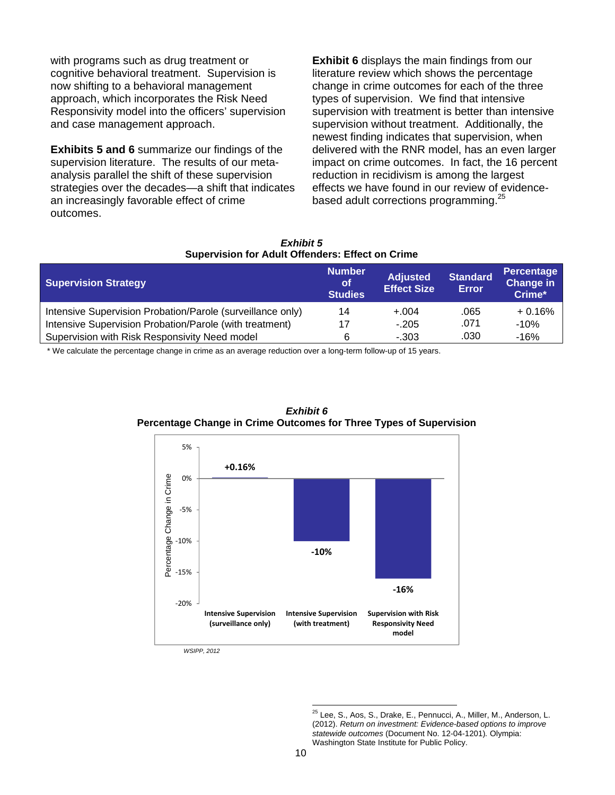with programs such as drug treatment or cognitive behavioral treatment. Supervision is now shifting to a behavioral management approach, which incorporates the Risk Need Responsivity model into the officers' supervision and case management approach.

**Exhibits 5 and 6** summarize our findings of the supervision literature. The results of our metaanalysis parallel the shift of these supervision strategies over the decades—a shift that indicates an increasingly favorable effect of crime outcomes.

**Exhibit 6** displays the main findings from our literature review which shows the percentage change in crime outcomes for each of the three types of supervision. We find that intensive supervision with treatment is better than intensive supervision without treatment. Additionally, the newest finding indicates that supervision, when delivered with the RNR model, has an even larger impact on crime outcomes. In fact, the 16 percent reduction in recidivism is among the largest effects we have found in our review of evidencebased adult corrections programming.<sup>25</sup>

#### *Exhibit 5*  **Supervision for Adult Offenders: Effect on Crime**

| <b>Supervision Strategy</b>                                | <b>Number</b><br><b>of</b><br><b>Studies</b> | <b>Adjusted</b><br><b>Effect Size</b> | <b>Standard</b><br><b>Error</b> | <b>Percentage</b><br><b>Change in</b><br>Crime* |
|------------------------------------------------------------|----------------------------------------------|---------------------------------------|---------------------------------|-------------------------------------------------|
| Intensive Supervision Probation/Parole (surveillance only) | 14                                           | $+.004$                               | .065                            | $+0.16%$                                        |
| Intensive Supervision Probation/Parole (with treatment)    | 17                                           | $-.205$                               | .071                            | $-10%$                                          |
| Supervision with Risk Responsivity Need model              | 6                                            | $-303$                                | .030                            | $-16%$                                          |

\* We calculate the percentage change in crime as an average reduction over a long-term follow-up of 15 years.





*WSIPP, 2012* 

 $\overline{a}$ <sup>25</sup> Lee, S., Aos, S., Drake, E., Pennucci, A., Miller, M., Anderson, L. (2012). *Return on investment: Evidence-based options to improve statewide outcomes* (Document No. 12-04-1201)*.* Olympia: Washington State Institute for Public Policy.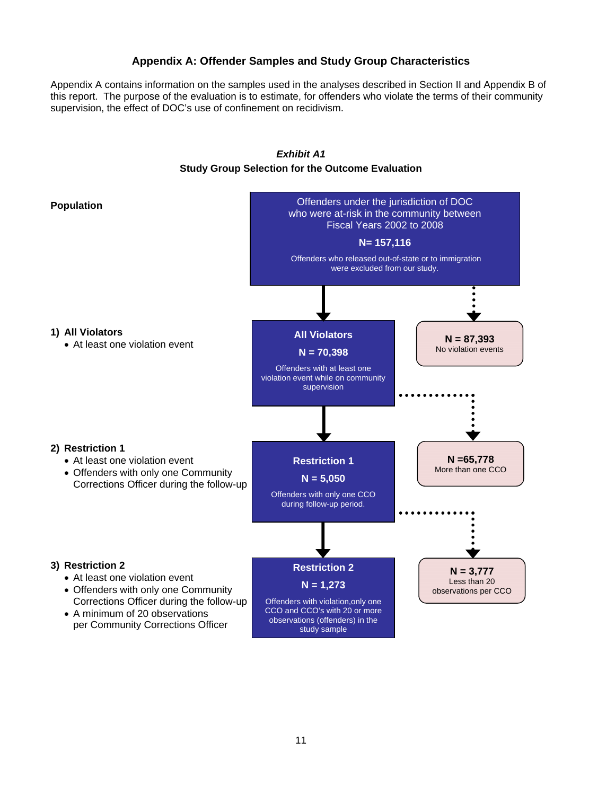## **Appendix A: Offender Samples and Study Group Characteristics**

Appendix A contains information on the samples used in the analyses described in Section II and Appendix B of this report. The purpose of the evaluation is to estimate, for offenders who violate the terms of their community supervision, the effect of DOC's use of confinement on recidivism.

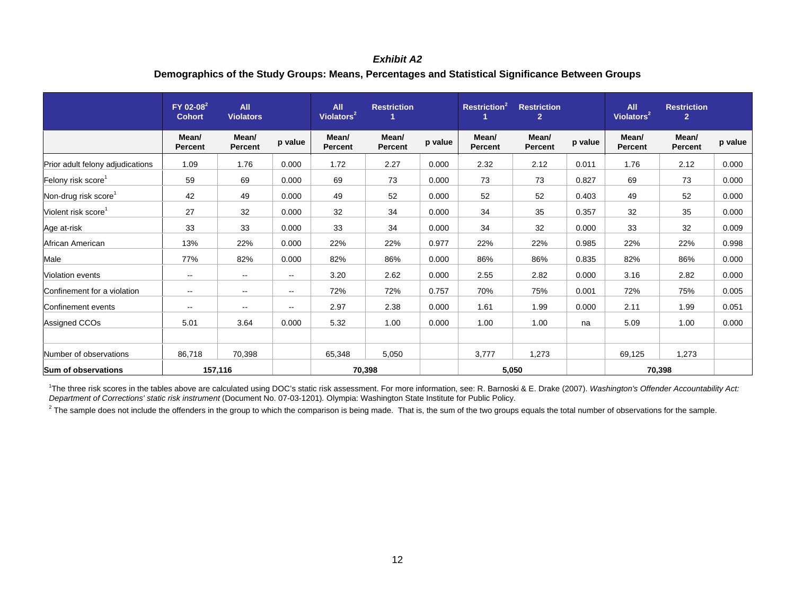## *Exhibit A2*  **Demographics of the Study Groups: Means, Percentages and Statistical Significance Between Groups**

|                                  | FY 02-08 <sup>2</sup><br><b>Cohort</b> | All<br><b>Violators</b> |                          | <b>All</b><br><b>Restriction</b><br>Violators <sup>2</sup> |                  |         | <b>Restriction<sup>2</sup></b><br><b>Restriction</b><br>$\overline{2}$ |                  |         | <b>All</b><br>Violators <sup>2</sup> | <b>Restriction</b><br>$\overline{2}$ |         |
|----------------------------------|----------------------------------------|-------------------------|--------------------------|------------------------------------------------------------|------------------|---------|------------------------------------------------------------------------|------------------|---------|--------------------------------------|--------------------------------------|---------|
|                                  | Mean/<br><b>Percent</b>                | Mean/<br><b>Percent</b> | p value                  | Mean/<br><b>Percent</b>                                    | Mean/<br>Percent | p value | Mean/<br><b>Percent</b>                                                | Mean/<br>Percent | p value | Mean/<br><b>Percent</b>              | Mean/<br><b>Percent</b>              | p value |
| Prior adult felony adjudications | 1.09                                   | 1.76                    | 0.000                    | 1.72                                                       | 2.27             | 0.000   | 2.32                                                                   | 2.12             | 0.011   | 1.76                                 | 2.12                                 | 0.000   |
| Felony risk score <sup>1</sup>   | 59                                     | 69                      | 0.000                    | 69                                                         | 73               | 0.000   | 73                                                                     | 73               | 0.827   | 69                                   | 73                                   | 0.000   |
| Non-drug risk score <sup>1</sup> | 42                                     | 49                      | 0.000                    | 49                                                         | 52               | 0.000   | 52                                                                     | 52               | 0.403   | 49                                   | 52                                   | 0.000   |
| Violent risk score <sup>1</sup>  | 27                                     | 32                      | 0.000                    | 32                                                         | 34               | 0.000   | 34                                                                     | 35               | 0.357   | 32                                   | 35                                   | 0.000   |
| Age at-risk                      | 33                                     | 33                      | 0.000                    | 33                                                         | 34               | 0.000   | 34                                                                     | 32               | 0.000   | 33                                   | 32                                   | 0.009   |
| African American                 | 13%                                    | 22%                     | 0.000                    | 22%                                                        | 22%              | 0.977   | 22%                                                                    | 22%              | 0.985   | 22%                                  | 22%                                  | 0.998   |
| Male                             | 77%                                    | 82%                     | 0.000                    | 82%                                                        | 86%              | 0.000   | 86%                                                                    | 86%              | 0.835   | 82%                                  | 86%                                  | 0.000   |
| Violation events                 | $\sim$                                 | $\sim$                  | $\sim$                   | 3.20                                                       | 2.62             | 0.000   | 2.55                                                                   | 2.82             | 0.000   | 3.16                                 | 2.82                                 | 0.000   |
| Confinement for a violation      | $\sim$                                 | $\mathbf{u}$            | $\overline{\phantom{a}}$ | 72%                                                        | 72%              | 0.757   | 70%                                                                    | 75%              | 0.001   | 72%                                  | 75%                                  | 0.005   |
| Confinement events               | $\sim$ $\sim$                          | $\mathbf{u}$            | --                       | 2.97                                                       | 2.38             | 0.000   | 1.61                                                                   | 1.99             | 0.000   | 2.11                                 | 1.99                                 | 0.051   |
| Assigned CCOs                    | 5.01                                   | 3.64                    | 0.000                    | 5.32                                                       | 1.00             | 0.000   | 1.00                                                                   | 1.00             | na      | 5.09                                 | 1.00                                 | 0.000   |
| Number of observations           | 86,718                                 | 70,398                  |                          | 65,348                                                     | 5,050            |         | 3,777                                                                  | 1,273            |         | 69,125                               | 1,273                                |         |
| <b>Sum of observations</b>       |                                        | 157,116                 |                          | 70,398<br>5,050                                            |                  |         | 70,398                                                                 |                  |         |                                      |                                      |         |

<sup>1</sup>The three risk scores in the tables above are calculated using DOC's static risk assessment. For more information, see: R. Barnoski & E. Drake (2007). Washington's Offender Accountability Act: *Department of Corrections' static risk instrument* (Document No. 07-03-1201)*.* Olympia: Washington State Institute for Public Policy.

<sup>2</sup> The sample does not include the offenders in the group to which the comparison is being made. That is, the sum of the two groups equals the total number of observations for the sample.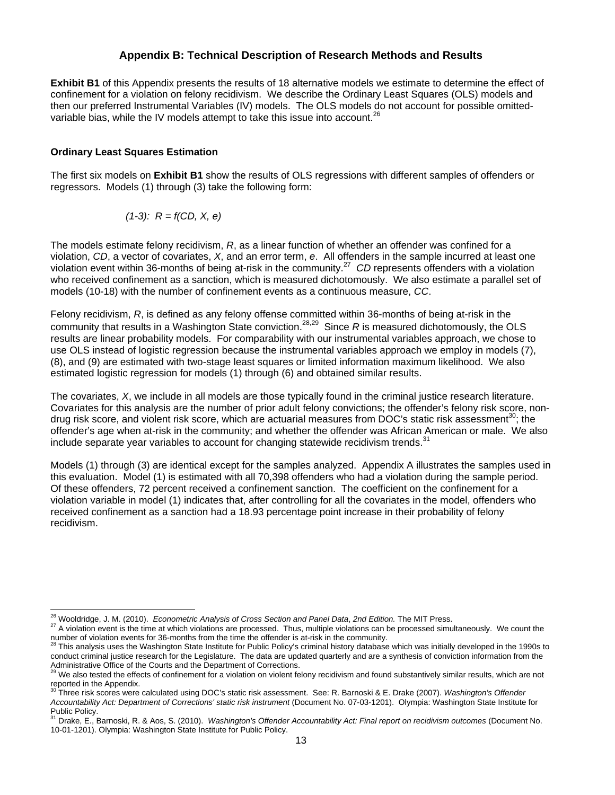### **Appendix B: Technical Description of Research Methods and Results**

**Exhibit B1** of this Appendix presents the results of 18 alternative models we estimate to determine the effect of confinement for a violation on felony recidivism. We describe the Ordinary Least Squares (OLS) models and then our preferred Instrumental Variables (IV) models. The OLS models do not account for possible omittedvariable bias, while the IV models attempt to take this issue into account.

#### **Ordinary Least Squares Estimation**

The first six models on **Exhibit B1** show the results of OLS regressions with different samples of offenders or regressors. Models (1) through (3) take the following form:

$$
(1-3)
$$
:  $R = f(CD, X, e)$ 

The models estimate felony recidivism, *R*, as a linear function of whether an offender was confined for a violation, *CD*, a vector of covariates, *X*, and an error term, *e*. All offenders in the sample incurred at least one violation event within 36-months of being at-risk in the community.27 *CD* represents offenders with a violation who received confinement as a sanction, which is measured dichotomously. We also estimate a parallel set of models (10-18) with the number of confinement events as a continuous measure, *CC*.

Felony recidivism, *R*, is defined as any felony offense committed within 36-months of being at-risk in the community that results in a Washington State conviction.<sup>28,29</sup> Since *R* is measured dichotomously, the OLS results are linear probability models. For comparability with our instrumental variables approach, we chose to use OLS instead of logistic regression because the instrumental variables approach we employ in models (7), (8), and (9) are estimated with two-stage least squares or limited information maximum likelihood. We also estimated logistic regression for models (1) through (6) and obtained similar results.

The covariates, *X*, we include in all models are those typically found in the criminal justice research literature. Covariates for this analysis are the number of prior adult felony convictions; the offender's felony risk score, nondrug risk score, and violent risk score, which are actuarial measures from DOC's static risk assessment<sup>30</sup>; the offender's age when at-risk in the community; and whether the offender was African American or male. We also include separate year variables to account for changing statewide recidivism trends.<sup>31</sup>

Models (1) through (3) are identical except for the samples analyzed. Appendix A illustrates the samples used in this evaluation. Model (1) is estimated with all 70,398 offenders who had a violation during the sample period. Of these offenders, 72 percent received a confinement sanction. The coefficient on the confinement for a violation variable in model (1) indicates that, after controlling for all the covariates in the model, offenders who received confinement as a sanction had a 18.93 percentage point increase in their probability of felony recidivism.

<sup>&</sup>lt;sup>26</sup> Wooldridge, J. M. (2010). Econometric Analysis of Cross Section and Panel Data, 2nd Edition. The MIT Press.

<sup>&</sup>lt;sup>27</sup> A violation event is the time at which violations are processed. Thus, multiple violations can be processed simultaneously. We count the number of violation events for 36-months from the time the offender is at-risk i

This analysis uses the Washington State Institute for Public Policy's criminal history database which was initially developed in the 1990s to conduct criminal justice research for the Legislature. The data are updated quarterly and are a synthesis of conviction information from the Administrative Office of the Courts and the Department of Corrections.

We also tested the effects of confinement for a violation on violent felony recidivism and found substantively similar results, which are not reported in the Appendix. 30 Three risk scores were calculated using DOC's static risk assessment. See: R. Barnoski & E. Drake (2007). *Washington's Offender* 

*Accountability Act: Department of Corrections' static risk instrument* (Document No. 07-03-1201). Olympia: Washington State Institute for Public Policy.

<sup>31</sup> Drake, E., Barnoski, R. & Aos, S. (2010). *Washington's Offender Accountability Act: Final report on recidivism outcomes* (Document No. 10-01-1201). Olympia: Washington State Institute for Public Policy.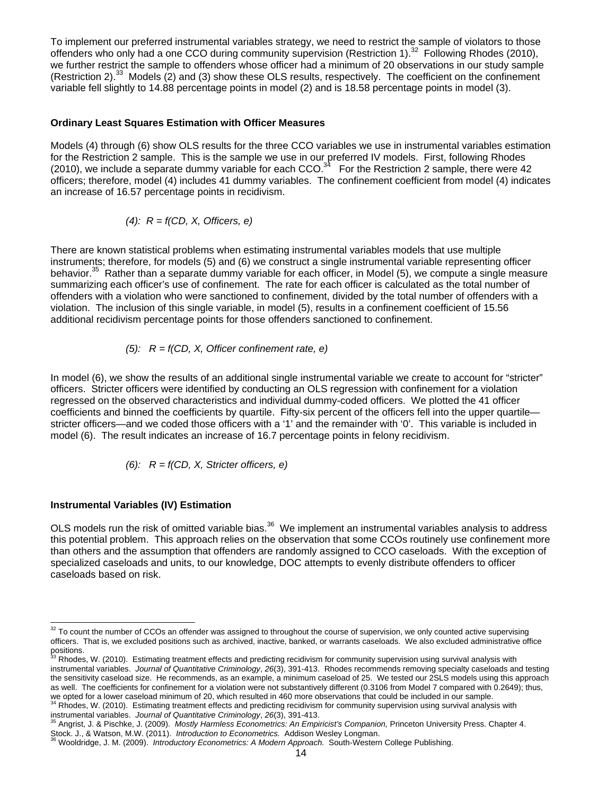To implement our preferred instrumental variables strategy, we need to restrict the sample of violators to those offenders who only had a one CCO during community supervision (Restriction 1).32 Following Rhodes (2010), we further restrict the sample to offenders whose officer had a minimum of 20 observations in our study sample (Restriction 2).<sup>33</sup> Models (2) and (3) show these OLS results, respectively. The coefficient on the confinement variable fell slightly to 14.88 percentage points in model (2) and is 18.58 percentage points in model (3).

#### **Ordinary Least Squares Estimation with Officer Measures**

Models (4) through (6) show OLS results for the three CCO variables we use in instrumental variables estimation for the Restriction 2 sample. This is the sample we use in our preferred IV models. First, following Rhodes (2010), we include a separate dummy variable for each CCO.<sup>34</sup> For the Restriction 2 sample, there were 42 officers; therefore, model (4) includes 41 dummy variables. The confinement coefficient from model (4) indicates an increase of 16.57 percentage points in recidivism.

(4): 
$$
R = f(CD, X, \text{Officers, } e)
$$

There are known statistical problems when estimating instrumental variables models that use multiple instruments; therefore, for models (5) and (6) we construct a single instrumental variable representing officer behavior.<sup>35</sup> Rather than a separate dummy variable for each officer, in Model (5), we compute a single measure summarizing each officer's use of confinement. The rate for each officer is calculated as the total number of offenders with a violation who were sanctioned to confinement, divided by the total number of offenders with a violation. The inclusion of this single variable, in model (5), results in a confinement coefficient of 15.56 additional recidivism percentage points for those offenders sanctioned to confinement.

(5): 
$$
R = f(CD, X, \text{ Officer confinement rate, } e)
$$

In model (6), we show the results of an additional single instrumental variable we create to account for "stricter" officers. Stricter officers were identified by conducting an OLS regression with confinement for a violation regressed on the observed characteristics and individual dummy-coded officers. We plotted the 41 officer coefficients and binned the coefficients by quartile. Fifty-six percent of the officers fell into the upper quartile stricter officers—and we coded those officers with a '1' and the remainder with '0'. This variable is included in model (6). The result indicates an increase of 16.7 percentage points in felony recidivism.

(6): 
$$
R = f(CD, X, \text{Stricter officers}, e)
$$

#### **Instrumental Variables (IV) Estimation**

OLS models run the risk of omitted variable bias.<sup>36</sup> We implement an instrumental variables analysis to address this potential problem. This approach relies on the observation that some CCOs routinely use confinement more than others and the assumption that offenders are randomly assigned to CCO caseloads. With the exception of specialized caseloads and units, to our knowledge, DOC attempts to evenly distribute offenders to officer caseloads based on risk.

  $32$  To count the number of CCOs an offender was assigned to throughout the course of supervision, we only counted active supervising officers. That is, we excluded positions such as archived, inactive, banked, or warrants caseloads. We also excluded administrative office positions.

Rhodes, W. (2010). Estimating treatment effects and predicting recidivism for community supervision using survival analysis with instrumental variables. *Journal of Quantitative Criminology*, *26*(3), 391-413. Rhodes recommends removing specialty caseloads and testing the sensitivity caseload size. He recommends, as an example, a minimum caseload of 25. We tested our 2SLS models using this approach as well. The coefficients for confinement for a violation were not substantively different (0.3106 from Model 7 compared with 0.2649); thus, we opted for a lower caseload minimum of 20, which resulted in 460 more observations that could be included in our sample.<br><sup>34</sup> Rhodes, W. (2010). Estimating treatment effects and predicting recidivism for community superv

instrumental variables. Journal of Quantitative Criminology, 26(3), 391-413.<br><sup>35</sup> Angrist, J. & Pischke, J. (2009). Mostly Harmless Econometrics: An Empiricist's Companion, Princeton University Press. Chapter 4.

Stock. J., & Watson, M.W. (2011). *Introduction to Econometrics.* Addison Wesley Longman.<br><sup>36</sup> Wooldridge, J. M. (2009). *Introductory Econometrics: A Modern Approach.* South-Western College Publishing.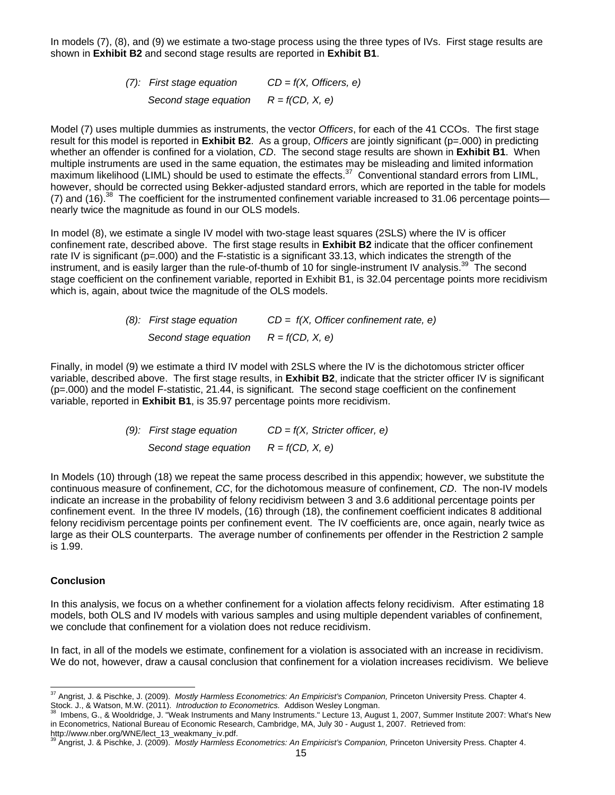In models (7), (8), and (9) we estimate a two-stage process using the three types of IVs. First stage results are shown in **Exhibit B2** and second stage results are reported in **Exhibit B1**.

> *(7): First stage equation CD = f(X, Officers, e) Second stage equation R = f(CD, X, e)*

Model (7) uses multiple dummies as instruments, the vector *Officers*, for each of the 41 CCOs. The first stage result for this model is reported in **Exhibit B2**. As a group, *Officers* are jointly significant (p=.000) in predicting whether an offender is confined for a violation, *CD*. The second stage results are shown in **Exhibit B1**. When multiple instruments are used in the same equation, the estimates may be misleading and limited information maximum likelihood (LIML) should be used to estimate the effects.<sup>37</sup> Conventional standard errors from LIML, however, should be corrected using Bekker-adjusted standard errors, which are reported in the table for models (7) and (16).<sup>38</sup> The coefficient for the instrumented confinement variable increased to 31.06 percentage points nearly twice the magnitude as found in our OLS models.

In model (8), we estimate a single IV model with two-stage least squares (2SLS) where the IV is officer confinement rate, described above. The first stage results in **Exhibit B2** indicate that the officer confinement rate IV is significant ( $p=000$ ) and the F-statistic is a significant 33.13, which indicates the strength of the instrument, and is easily larger than the rule-of-thumb of 10 for single-instrument IV analysis.<sup>39</sup> The second stage coefficient on the confinement variable, reported in Exhibit B1, is 32.04 percentage points more recidivism which is, again, about twice the magnitude of the OLS models.

> *(8): First stage equation CD = f(X, Officer confinement rate, e) Second stage equation R = f(CD, X, e)*

Finally, in model (9) we estimate a third IV model with 2SLS where the IV is the dichotomous stricter officer variable, described above. The first stage results, in **Exhibit B2**, indicate that the stricter officer IV is significant (p=.000) and the model F-statistic, 21.44, is significant. The second stage coefficient on the confinement variable, reported in **Exhibit B1**, is 35.97 percentage points more recidivism.

> *(9): First stage equation CD = f(X, Stricter officer, e) Second stage equation R = f(CD, X, e)*

In Models (10) through (18) we repeat the same process described in this appendix; however, we substitute the continuous measure of confinement, *CC*, for the dichotomous measure of confinement, *CD*. The non-IV models indicate an increase in the probability of felony recidivism between 3 and 3.6 additional percentage points per confinement event. In the three IV models, (16) through (18), the confinement coefficient indicates 8 additional felony recidivism percentage points per confinement event. The IV coefficients are, once again, nearly twice as large as their OLS counterparts. The average number of confinements per offender in the Restriction 2 sample is 1.99.

#### **Conclusion**

In this analysis, we focus on a whether confinement for a violation affects felony recidivism. After estimating 18 models, both OLS and IV models with various samples and using multiple dependent variables of confinement, we conclude that confinement for a violation does not reduce recidivism.

In fact, in all of the models we estimate, confinement for a violation is associated with an increase in recidivism. We do not, however, draw a causal conclusion that confinement for a violation increases recidivism. We believe

 $\overline{a}$ 37 Angrist, J. & Pischke, J. (2009). *Mostly Harmless Econometrics: An Empiricist's Companion,* Princeton University Press. Chapter 4. Stock. J., & Watson, M.W. (2011). Introduction to Econometrics. An Empiricist s Companion, Princeton University Press. Chapter 4.<br>Stock. J., & Watson, M.W. (2011). Introduction to Econometrics. Addison Wesley Longman.<br><sup>38</sup>

in Econometrics, National Bureau of Economic Research, Cambridge, MA, July 30 - August 1, 2007. Retrieved from:

http://www.nber.org/WNE/lect\_13\_weakmany\_iv.pdf. 39 Angrist, J. & Pischke, J. (2009). *Mostly Harmless Econometrics: An Empiricist's Companion,* Princeton University Press. Chapter 4.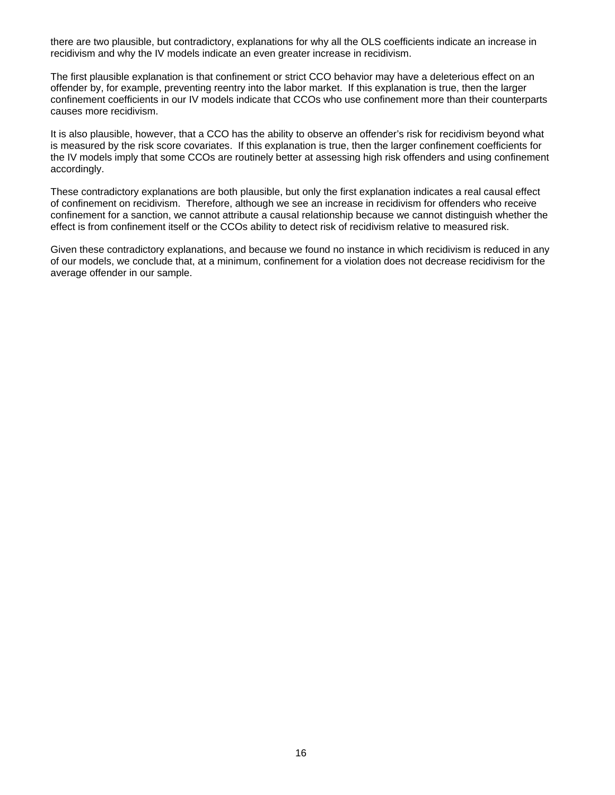there are two plausible, but contradictory, explanations for why all the OLS coefficients indicate an increase in recidivism and why the IV models indicate an even greater increase in recidivism.

The first plausible explanation is that confinement or strict CCO behavior may have a deleterious effect on an offender by, for example, preventing reentry into the labor market. If this explanation is true, then the larger confinement coefficients in our IV models indicate that CCOs who use confinement more than their counterparts causes more recidivism.

It is also plausible, however, that a CCO has the ability to observe an offender's risk for recidivism beyond what is measured by the risk score covariates. If this explanation is true, then the larger confinement coefficients for the IV models imply that some CCOs are routinely better at assessing high risk offenders and using confinement accordingly.

These contradictory explanations are both plausible, but only the first explanation indicates a real causal effect of confinement on recidivism. Therefore, although we see an increase in recidivism for offenders who receive confinement for a sanction, we cannot attribute a causal relationship because we cannot distinguish whether the effect is from confinement itself or the CCOs ability to detect risk of recidivism relative to measured risk.

Given these contradictory explanations, and because we found no instance in which recidivism is reduced in any of our models, we conclude that, at a minimum, confinement for a violation does not decrease recidivism for the average offender in our sample.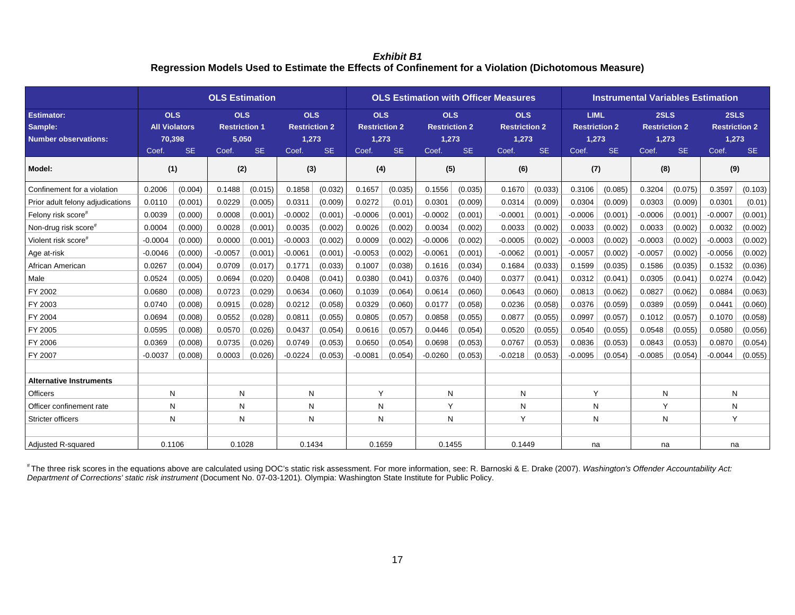*Exhibit B1*  **Regression Models Used to Estimate the Effects of Confinement for a Violation (Dichotomous Measure)** 

|                                                             | <b>OLS Estimation</b>                                 |           |                                                      |           |                                                                   |         | <b>OLS Estimation with Officer Measures</b>                       |         |                                                                   |         |                                                                   |         |                                                                    | <b>Instrumental Variables Estimation</b> |                                                            |         |                                                             |         |  |
|-------------------------------------------------------------|-------------------------------------------------------|-----------|------------------------------------------------------|-----------|-------------------------------------------------------------------|---------|-------------------------------------------------------------------|---------|-------------------------------------------------------------------|---------|-------------------------------------------------------------------|---------|--------------------------------------------------------------------|------------------------------------------|------------------------------------------------------------|---------|-------------------------------------------------------------|---------|--|
| <b>Estimator:</b><br>Sample:<br><b>Number observations:</b> | <b>OLS</b><br><b>All Violators</b><br>70,398<br>Coef. | <b>SE</b> | <b>OLS</b><br><b>Restriction 1</b><br>5,050<br>Coef. | <b>SE</b> | <b>OLS</b><br><b>Restriction 2</b><br>1,273<br><b>SE</b><br>Coef. |         | <b>OLS</b><br><b>Restriction 2</b><br>1,273<br><b>SE</b><br>Coef. |         | <b>OLS</b><br><b>Restriction 2</b><br>1,273<br><b>SE</b><br>Coef. |         | <b>OLS</b><br><b>Restriction 2</b><br>1,273<br><b>SE</b><br>Coef. |         | <b>LIML</b><br><b>Restriction 2</b><br>1,273<br><b>SE</b><br>Coef. |                                          | 2SLS<br><b>Restriction 2</b><br>1,273<br><b>SE</b><br>Coef |         | 2SLS<br><b>Restriction 2</b><br>1,273<br><b>SE</b><br>Coef. |         |  |
| Model:                                                      | (1)                                                   |           | (2)                                                  |           |                                                                   | (3)     |                                                                   | (4)     |                                                                   | (5)     |                                                                   | (6)     |                                                                    | (7)<br>(8)                               |                                                            |         |                                                             | (9)     |  |
| Confinement for a violation                                 | 0.2006                                                | (0.004)   | 0.1488                                               | (0.015)   | 0.1858                                                            | (0.032) | 0.1657                                                            | (0.035) | 0.1556                                                            | (0.035) | 0.1670                                                            | (0.033) | 0.3106                                                             | (0.085)                                  | 0.3204                                                     | (0.075) | 0.3597                                                      | (0.103) |  |
| Prior adult felony adjudications                            | 0.0110                                                | (0.001)   | 0.0229                                               | (0.005)   | 0.0311                                                            | (0.009) | 0.0272                                                            | (0.01)  | 0.0301                                                            | (0.009) | 0.0314                                                            | (0.009) | 0.0304                                                             | (0.009)                                  | 0.0303                                                     | (0.009) | 0.0301                                                      | (0.01)  |  |
| Felony risk score#                                          | 0.0039                                                | (0.000)   | 0.0008                                               | (0.001)   | $-0.0002$                                                         | (0.001) | $-0.0006$                                                         | (0.001) | $-0.0002$                                                         | (0.001) | $-0.0001$                                                         | (0.001) | $-0.0006$                                                          | (0.001)                                  | $-0.0006$                                                  | (0.001) | $-0.0007$                                                   | (0.001) |  |
| Non-drug risk score <sup>#</sup>                            | 0.0004                                                | (0.000)   | 0.0028                                               | (0.001)   | 0.0035                                                            | (0.002) | 0.0026                                                            | (0.002) | 0.0034                                                            | (0.002) | 0.0033                                                            | (0.002) | 0.0033                                                             | (0.002)                                  | 0.0033                                                     | (0.002) | 0.0032                                                      | (0.002) |  |
| Violent risk score#                                         | $-0.0004$                                             | (0.000)   | 0.0000                                               | (0.001)   | $-0.0003$                                                         | (0.002) | 0.0009                                                            | (0.002) | $-0.0006$                                                         | (0.002) | $-0.0005$                                                         | (0.002) | $-0.0003$                                                          | (0.002)                                  | $-0.0003$                                                  | (0.002) | $-0.0003$                                                   | (0.002) |  |
| Age at-risk                                                 | $-0.0046$                                             | (0.000)   | $-0.0057$                                            | (0.001)   | $-0.0061$                                                         | (0.001) | $-0.0053$                                                         | (0.002) | $-0.0061$                                                         | (0.001) | $-0.0062$                                                         | (0.001) | $-0.0057$                                                          | (0.002)                                  | $-0.0057$                                                  | (0.002) | $-0.0056$                                                   | (0.002) |  |
| African American                                            | 0.0267                                                | (0.004)   | 0.0709                                               | (0.017)   | 0.1771                                                            | (0.033) | 0.1007                                                            | (0.038) | 0.1616                                                            | (0.034) | 0.1684                                                            | (0.033) | 0.1599                                                             | (0.035)                                  | 0.1586                                                     | (0.035) | 0.1532                                                      | (0.036) |  |
| Male                                                        | 0.0524                                                | (0.005)   | 0.0694                                               | (0.020)   | 0.0408                                                            | (0.041) | 0.0380                                                            | (0.041) | 0.0376                                                            | (0.040) | 0.0377                                                            | (0.041) | 0.0312                                                             | (0.041)                                  | 0.0305                                                     | (0.041) | 0.0274                                                      | (0.042) |  |
| FY 2002                                                     | 0.0680                                                | (0.008)   | 0.0723                                               | (0.029)   | 0.0634                                                            | (0.060) | 0.1039                                                            | (0.064) | 0.0614                                                            | (0.060) | 0.0643                                                            | (0.060) | 0.0813                                                             | (0.062)                                  | 0.0827                                                     | (0.062) | 0.0884                                                      | (0.063) |  |
| FY 2003                                                     | 0.0740                                                | (0.008)   | 0.0915                                               | (0.028)   | 0.0212                                                            | (0.058) | 0.0329                                                            | (0.060) | 0.0177                                                            | (0.058) | 0.0236                                                            | (0.058) | 0.0376                                                             | (0.059)                                  | 0.0389                                                     | (0.059) | 0.0441                                                      | (0.060) |  |
| FY 2004                                                     | 0.0694                                                | (0.008)   | 0.0552                                               | (0.028)   | 0.0811                                                            | (0.055) | 0.0805                                                            | (0.057) | 0.0858                                                            | (0.055) | 0.0877                                                            | (0.055) | 0.0997                                                             | (0.057)                                  | 0.1012                                                     | (0.057) | 0.1070                                                      | (0.058) |  |
| FY 2005                                                     | 0.0595                                                | (0.008)   | 0.0570                                               | (0.026)   | 0.0437                                                            | (0.054) | 0.0616                                                            | (0.057) | 0.0446                                                            | (0.054) | 0.0520                                                            | (0.055) | 0.0540                                                             | (0.055)                                  | 0.0548                                                     | (0.055) | 0.0580                                                      | (0.056) |  |
| FY 2006                                                     | 0.0369                                                | (0.008)   | 0.0735                                               | (0.026)   | 0.0749                                                            | (0.053) | 0.0650                                                            | (0.054) | 0.0698                                                            | (0.053) | 0.0767                                                            | (0.053) | 0.0836                                                             | (0.053)                                  | 0.0843                                                     | (0.053) | 0.0870                                                      | (0.054) |  |
| FY 2007                                                     | $-0.0037$                                             | (0.008)   | 0.0003                                               | (0.026)   | $-0.0224$                                                         | (0.053) | $-0.0081$                                                         | (0.054) | $-0.0260$                                                         | (0.053) | $-0.0218$                                                         | (0.053) | $-0.0095$                                                          | (0.054)                                  | $-0.0085$                                                  | (0.054) | $-0.0044$                                                   | (0.055) |  |
|                                                             |                                                       |           |                                                      |           |                                                                   |         |                                                                   |         |                                                                   |         |                                                                   |         |                                                                    |                                          |                                                            |         |                                                             |         |  |
| <b>Alternative Instruments</b>                              |                                                       |           |                                                      |           |                                                                   |         |                                                                   |         |                                                                   |         |                                                                   |         |                                                                    |                                          |                                                            |         |                                                             |         |  |
| Officers                                                    | N                                                     |           | N                                                    |           | N                                                                 |         | Y                                                                 |         | N                                                                 |         | N                                                                 |         | Y                                                                  |                                          | N                                                          |         | N                                                           |         |  |
| Officer confinement rate                                    | N                                                     |           | N                                                    |           | N                                                                 |         | N                                                                 |         | Y                                                                 |         | N                                                                 |         | N                                                                  |                                          | Y                                                          |         | N                                                           |         |  |
| <b>Stricter officers</b>                                    | N                                                     |           | N                                                    |           | N                                                                 |         | N                                                                 |         | N                                                                 |         | Y                                                                 |         | N                                                                  |                                          | N                                                          |         | Y                                                           |         |  |
|                                                             |                                                       |           |                                                      |           |                                                                   |         |                                                                   |         |                                                                   |         |                                                                   |         |                                                                    |                                          |                                                            |         |                                                             |         |  |
| <b>Adjusted R-squared</b>                                   | 0.1106                                                |           | 0.1028                                               |           | 0.1434                                                            |         | 0.1659                                                            |         |                                                                   | 0.1455  |                                                                   | 0.1449  | na                                                                 |                                          | na                                                         |         | na                                                          |         |  |

# The three risk scores in the equations above are calculated using DOC's static risk assessment. For more information, see: R. Barnoski & E. Drake (2007). *Washington's Offender Accountability Act: Department of Corrections' static risk instrument* (Document No. 07-03-1201)*.* Olympia: Washington State Institute for Public Policy.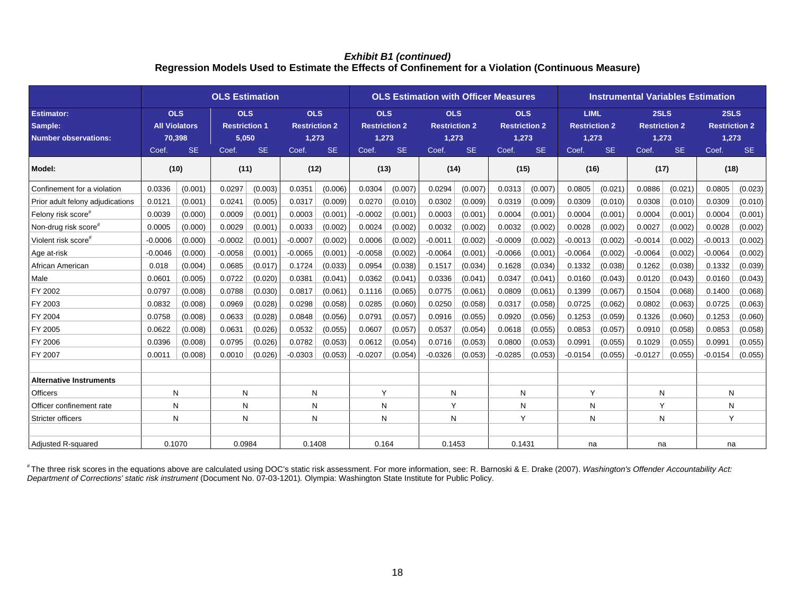#### *Exhibit B1 (continued)*  **Regression Models Used to Estimate the Effects of Confinement for a Violation (Continuous Measure)**

|                                                             | <b>OLS Estimation</b>                        |           |                                             |           |                                             |         |                                             |         | <b>OLS Estimation with Officer Measures</b> | <b>Instrumental Variables Estimation</b> |                                             |         |                                              |                   |                                                |                   |                                                             |         |
|-------------------------------------------------------------|----------------------------------------------|-----------|---------------------------------------------|-----------|---------------------------------------------|---------|---------------------------------------------|---------|---------------------------------------------|------------------------------------------|---------------------------------------------|---------|----------------------------------------------|-------------------|------------------------------------------------|-------------------|-------------------------------------------------------------|---------|
| <b>Estimator:</b><br>Sample:<br><b>Number observations:</b> | <b>OLS</b><br><b>All Violators</b><br>70,398 |           | <b>OLS</b><br><b>Restriction 1</b><br>5,050 |           | <b>OLS</b><br><b>Restriction 2</b><br>1,273 |         | <b>OLS</b><br><b>Restriction 2</b><br>1,273 |         | <b>OLS</b><br><b>Restriction 2</b><br>1,273 |                                          | <b>OLS</b><br><b>Restriction 2</b><br>1,273 |         | <b>LIML</b><br><b>Restriction 2</b><br>1,273 |                   | 2SLS<br><b>Restriction 2</b><br>1,273<br>Coef. |                   | 2SLS<br><b>Restriction 2</b><br>1,273<br><b>SE</b><br>Coef. |         |
| Model:                                                      | Coef.<br>(10)                                | <b>SE</b> | Coef.<br>(11)                               | <b>SE</b> | <b>SE</b><br>Coef.<br>(12)                  |         | <b>SE</b><br>Coef.<br>(13)                  |         | <b>SE</b><br>Coef.<br>(14)                  |                                          | <b>SE</b><br>Coef.<br>(15)                  |         | Coef.                                        | <b>SE</b><br>(16) |                                                | <b>SE</b><br>(17) | (18)                                                        |         |
| Confinement for a violation                                 | 0.0336                                       | (0.001)   | 0.0297                                      | (0.003)   | 0.0351                                      | (0.006) | 0.0304                                      | (0.007) | 0.0294                                      | (0.007)                                  | 0.0313                                      | (0.007) | 0.0805                                       | (0.021)           | 0.0886                                         | (0.021)           | 0.0805                                                      | (0.023) |
| Prior adult felony adjudications                            | 0.0121                                       | (0.001)   | 0.0241                                      | (0.005)   | 0.0317                                      | (0.009) | 0.0270                                      | (0.010) | 0.0302                                      | (0.009)                                  | 0.0319                                      | (0.009) | 0.0309                                       | (0.010)           | 0.0308                                         | (0.010)           | 0.0309                                                      | (0.010) |
| Felony risk score#                                          | 0.0039                                       | (0.000)   | 0.0009                                      | (0.001)   | 0.0003                                      | (0.001) | $-0.0002$                                   | (0.001) | 0.0003                                      | (0.001)                                  | 0.0004                                      | (0.001) | 0.0004                                       | (0.001)           | 0.0004                                         | (0.001)           | 0.0004                                                      | (0.001) |
| Non-drug risk score#                                        | 0.0005                                       | (0.000)   | 0.0029                                      | (0.001)   | 0.0033                                      | (0.002) | 0.0024                                      | (0.002) | 0.0032                                      | (0.002)                                  | 0.0032                                      | (0.002) | 0.0028                                       | (0.002)           | 0.0027                                         | (0.002)           | 0.0028                                                      | (0.002) |
| Violent risk score <sup>#</sup>                             | $-0.0006$                                    | (0.000)   | $-0.0002$                                   | (0.001)   | $-0.0007$                                   | (0.002) | 0.0006                                      | (0.002) | $-0.0011$                                   | (0.002)                                  | $-0.0009$                                   | (0.002) | $-0.0013$                                    | (0.002)           | $-0.0014$                                      | (0.002)           | $-0.0013$                                                   | (0.002) |
| Age at-risk                                                 | $-0.0046$                                    | (0.000)   | $-0.0058$                                   | (0.001)   | $-0.0065$                                   | (0.001) | $-0.0058$                                   | (0.002) | $-0.0064$                                   | (0.001)                                  | $-0.0066$                                   | (0.001) | $-0.0064$                                    | (0.002)           | $-0.0064$                                      | (0.002)           | $-0.0064$                                                   | (0.002) |
| African American                                            | 0.018                                        | (0.004)   | 0.0685                                      | (0.017)   | 0.1724                                      | (0.033) | 0.0954                                      | (0.038) | 0.1517                                      | (0.034)                                  | 0.1628                                      | (0.034) | 0.1332                                       | (0.038)           | 0.1262                                         | (0.038)           | 0.1332                                                      | (0.039) |
| Male                                                        | 0.0601                                       | (0.005)   | 0.0722                                      | (0.020)   | 0.0381                                      | (0.041) | 0.0362                                      | (0.041) | 0.0336                                      | (0.041)                                  | 0.0347                                      | (0.041) | 0.0160                                       | (0.043)           | 0.0120                                         | (0.043)           | 0.0160                                                      | (0.043) |
| FY 2002                                                     | 0.0797                                       | (0.008)   | 0.0788                                      | (0.030)   | 0.0817                                      | (0.061) | 0.1116                                      | (0.065) | 0.0775                                      | (0.061)                                  | 0.0809                                      | (0.061) | 0.1399                                       | (0.067)           | 0.1504                                         | (0.068)           | 0.1400                                                      | (0.068) |
| FY 2003                                                     | 0.0832                                       | (0.008)   | 0.0969                                      | (0.028)   | 0.0298                                      | (0.058) | 0.0285                                      | (0.060) | 0.0250                                      | (0.058)                                  | 0.0317                                      | (0.058) | 0.0725                                       | (0.062)           | 0.0802                                         | (0.063)           | 0.0725                                                      | (0.063) |
| FY 2004                                                     | 0.0758                                       | (0.008)   | 0.0633                                      | (0.028)   | 0.0848                                      | (0.056) | 0.0791                                      | (0.057) | 0.0916                                      | (0.055)                                  | 0.0920                                      | (0.056) | 0.1253                                       | (0.059)           | 0.1326                                         | (0.060)           | 0.1253                                                      | (0.060) |
| FY 2005                                                     | 0.0622                                       | (0.008)   | 0.0631                                      | (0.026)   | 0.0532                                      | (0.055) | 0.0607                                      | (0.057) | 0.0537                                      | (0.054)                                  | 0.0618                                      | (0.055) | 0.0853                                       | (0.057)           | 0.0910                                         | (0.058)           | 0.0853                                                      | (0.058) |
| FY 2006                                                     | 0.0396                                       | (0.008)   | 0.0795                                      | (0.026)   | 0.0782                                      | (0.053) | 0.0612                                      | (0.054) | 0.0716                                      | (0.053)                                  | 0.0800                                      | (0.053) | 0.0991                                       | (0.055)           | 0.1029                                         | (0.055)           | 0.0991                                                      | (0.055) |
| FY 2007                                                     | 0.0011                                       | (0.008)   | 0.0010                                      | (0.026)   | $-0.0303$                                   | (0.053) | $-0.0207$                                   | (0.054) | $-0.0326$                                   | (0.053)                                  | $-0.0285$                                   | (0.053) | $-0.0154$                                    | (0.055)           | $-0.0127$                                      | (0.055)           | $-0.0154$                                                   | (0.055) |
|                                                             |                                              |           |                                             |           |                                             |         |                                             |         |                                             |                                          |                                             |         |                                              |                   |                                                |                   |                                                             |         |
| <b>Alternative Instruments</b>                              |                                              |           |                                             |           |                                             |         |                                             |         |                                             |                                          |                                             |         |                                              |                   |                                                |                   |                                                             |         |
| Officers                                                    | N                                            |           | N                                           |           | N                                           |         | Υ                                           |         | N                                           |                                          | N                                           |         | Y                                            |                   | N                                              |                   | N                                                           |         |
| Officer confinement rate                                    | N                                            |           | N                                           |           | N                                           |         | N                                           |         | Y                                           |                                          | N                                           |         | N                                            |                   | Y                                              |                   | N                                                           |         |
| Stricter officers                                           | N                                            |           | N                                           |           | N                                           |         | N                                           |         | N                                           |                                          | Y                                           |         | N                                            |                   | N                                              |                   | Y                                                           |         |
|                                                             |                                              |           |                                             |           |                                             |         |                                             |         |                                             |                                          |                                             |         |                                              |                   |                                                |                   |                                                             |         |
| <b>Adjusted R-squared</b>                                   | 0.1070                                       |           | 0.0984                                      |           |                                             | 0.1408  |                                             | 0.164   | 0.1453                                      |                                          | 0.1431                                      |         | na                                           |                   | na                                             |                   | na                                                          |         |

# The three risk scores in the equations above are calculated using DOC's static risk assessment. For more information, see: R. Barnoski & E. Drake (2007). *Washington's Offender Accountability Act: Department of Corrections' static risk instrument* (Document No. 07-03-1201)*.* Olympia: Washington State Institute for Public Policy.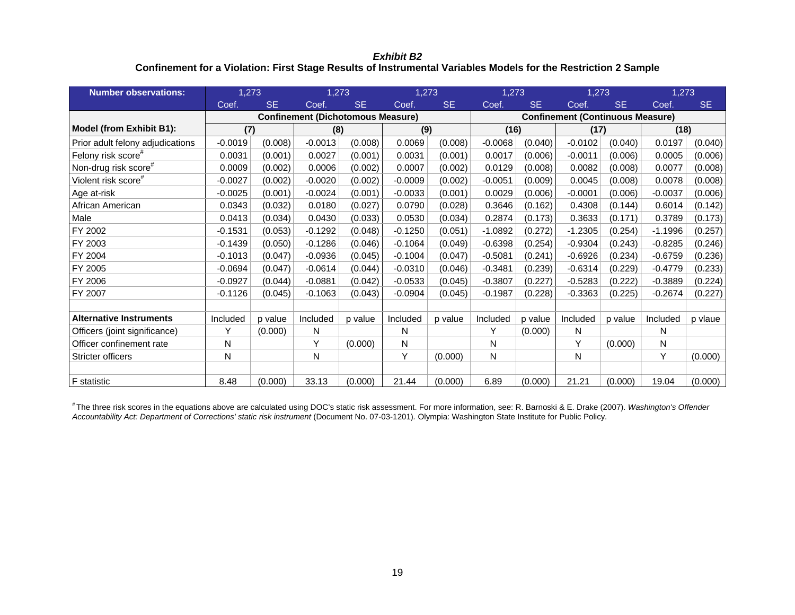*Exhibit B2*  **Confinement for a Violation: First Stage Results of Instrumental Variables Models for the Restriction 2 Sample** 

| <b>Number observations:</b>      | 1,273     |           | 1,273                                    |           | 1,273     |                                         | 1,273     |           | 1,273     |           | 1,273     |           |  |
|----------------------------------|-----------|-----------|------------------------------------------|-----------|-----------|-----------------------------------------|-----------|-----------|-----------|-----------|-----------|-----------|--|
|                                  | Coef.     | <b>SE</b> | Coef.                                    | <b>SE</b> | Coef.     | <b>SE</b>                               | Coef.     | <b>SE</b> | Coef.     | <b>SE</b> | Coef.     | <b>SE</b> |  |
|                                  |           |           | <b>Confinement (Dichotomous Measure)</b> |           |           | <b>Confinement (Continuous Measure)</b> |           |           |           |           |           |           |  |
| Model (from Exhibit B1):         | (7)       |           | (8)                                      |           |           | (9)                                     |           | (16)      |           | (17)      |           | (18)      |  |
| Prior adult felony adjudications | $-0.0019$ | (0.008)   | $-0.0013$                                | (0.008)   | 0.0069    | (0.008)                                 | $-0.0068$ | (0.040)   | $-0.0102$ | (0.040)   | 0.0197    | (0.040)   |  |
| Felony risk score <sup>#</sup>   | 0.0031    | (0.001)   | 0.0027                                   | (0.001)   | 0.0031    | (0.001)                                 | 0.0017    | (0.006)   | $-0.0011$ | (0.006)   | 0.0005    | (0.006)   |  |
| Non-drug risk score <sup>#</sup> | 0.0009    | (0.002)   | 0.0006                                   | (0.002)   | 0.0007    | (0.002)                                 | 0.0129    | (0.008)   | 0.0082    | (0.008)   | 0.0077    | (0.008)   |  |
| Violent risk score <sup>#</sup>  | $-0.0027$ | (0.002)   | $-0.0020$                                | (0.002)   | $-0.0009$ | (0.002)                                 | $-0.0051$ | (0.009)   | 0.0045    | (0.008)   | 0.0078    | (0.008)   |  |
| Age at-risk                      | $-0.0025$ | (0.001)   | $-0.0024$                                | (0.001)   | $-0.0033$ | (0.001)                                 | 0.0029    | (0.006)   | $-0.0001$ | (0.006)   | $-0.0037$ | (0.006)   |  |
| African American                 | 0.0343    | (0.032)   | 0.0180                                   | (0.027)   | 0.0790    | (0.028)                                 | 0.3646    | (0.162)   | 0.4308    | (0.144)   | 0.6014    | (0.142)   |  |
| Male                             | 0.0413    | (0.034)   | 0.0430                                   | (0.033)   | 0.0530    | (0.034)                                 | 0.2874    | (0.173)   | 0.3633    | (0.171)   | 0.3789    | (0.173)   |  |
| FY 2002                          | $-0.1531$ | (0.053)   | $-0.1292$                                | (0.048)   | $-0.1250$ | (0.051)                                 | $-1.0892$ | (0.272)   | $-1.2305$ | (0.254)   | $-1.1996$ | (0.257)   |  |
| FY 2003                          | $-0.1439$ | (0.050)   | $-0.1286$                                | (0.046)   | $-0.1064$ | (0.049)                                 | $-0.6398$ | (0.254)   | $-0.9304$ | (0.243)   | $-0.8285$ | (0.246)   |  |
| FY 2004                          | $-0.1013$ | (0.047)   | $-0.0936$                                | (0.045)   | $-0.1004$ | (0.047)                                 | $-0.5081$ | (0.241)   | $-0.6926$ | (0.234)   | $-0.6759$ | (0.236)   |  |
| FY 2005                          | $-0.0694$ | (0.047)   | $-0.0614$                                | (0.044)   | $-0.0310$ | (0.046)                                 | $-0.3481$ | (0.239)   | $-0.6314$ | (0.229)   | $-0.4779$ | (0.233)   |  |
| FY 2006                          | $-0.0927$ | (0.044)   | $-0.0881$                                | (0.042)   | $-0.0533$ | (0.045)                                 | $-0.3807$ | (0.227)   | $-0.5283$ | (0.222)   | $-0.3889$ | (0.224)   |  |
| FY 2007                          | $-0.1126$ | (0.045)   | $-0.1063$                                | (0.043)   | $-0.0904$ | (0.045)                                 | $-0.1987$ | (0.228)   | $-0.3363$ | (0.225)   | $-0.2674$ | (0.227)   |  |
|                                  |           |           |                                          |           |           |                                         |           |           |           |           |           |           |  |
| <b>Alternative Instruments</b>   | Included  | p value   | Included                                 | p value   | Included  | p value                                 | Included  | p value   | Included  | p value   | Included  | p vlaue   |  |
| Officers (joint significance)    | Υ         | (0.000)   | N                                        |           | N         |                                         | Y         | (0.000)   | N         |           | N         |           |  |
| Officer confinement rate         | N         |           | Y                                        | (0.000)   | N         |                                         | N         |           | Υ         | (0.000)   | N         |           |  |
| <b>Stricter officers</b>         | Ν         |           | Ν                                        |           | Y         | (0.000)                                 | N         |           | N         |           | Y         | (0.000)   |  |
|                                  |           |           |                                          |           |           |                                         |           |           |           |           |           |           |  |
| <b>F</b> statistic               | 8.48      | (0.000)   | 33.13                                    | (0.000)   | 21.44     | (0.000)                                 | 6.89      | (0.000)   | 21.21     | (0.000)   | 19.04     | (0.000)   |  |

# The three risk scores in the equations above are calculated using DOC's static risk assessment. For more information, see: R. Barnoski & E. Drake (2007). *Washington's Offender Accountability Act: Department of Corrections' static risk instrument* (Document No. 07-03-1201)*.* Olympia: Washington State Institute for Public Policy.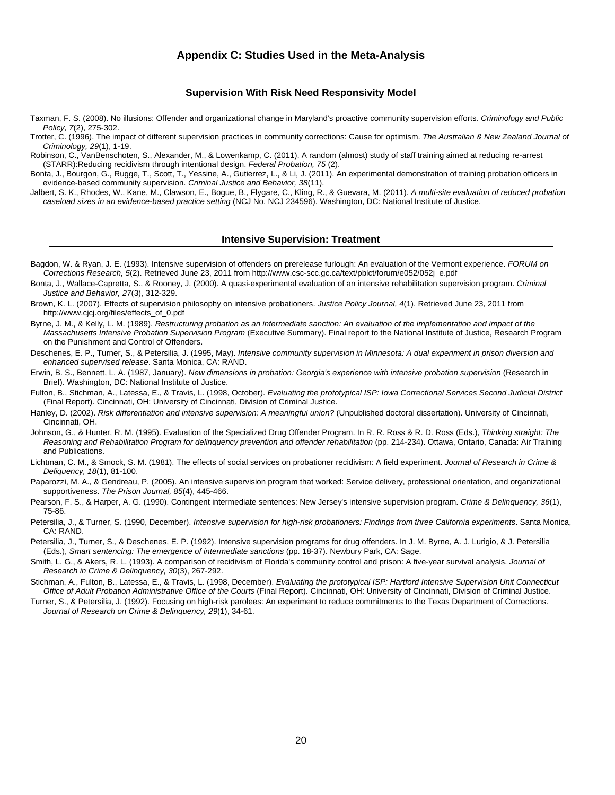#### **Appendix C: Studies Used in the Meta-Analysis**

#### **Supervision With Risk Need Responsivity Model**

Taxman, F. S. (2008). No illusions: Offender and organizational change in Maryland's proactive community supervision efforts. *Criminology and Public Policy, 7*(2), 275-302.

Trotter, C. (1996). The impact of different supervision practices in community corrections: Cause for optimism. *The Australian & New Zealand Journal of Criminology, 29*(1), 1-19.

Robinson, C., VanBenschoten, S., Alexander, M., & Lowenkamp, C. (2011). A random (almost) study of staff training aimed at reducing re-arrest (STARR):Reducing recidivism through intentional design. *Federal Probation, 75* (2).

Bonta, J., Bourgon, G., Rugge, T., Scott, T., Yessine, A., Gutierrez, L., & Li, J. (2011). An experimental demonstration of training probation officers in evidence-based community supervision. *Criminal Justice and Behavior, 38*(11).

Jalbert, S. K., Rhodes, W., Kane, M., Clawson, E., Bogue, B., Flygare, C., Kling, R., & Guevara, M. (2011). *A multi-site evaluation of reduced probation caseload sizes in an evidence-based practice setting* (NCJ No. NCJ 234596). Washington, DC: National Institute of Justice.

#### **Intensive Supervision: Treatment**

Bagdon, W. & Ryan, J. E. (1993). Intensive supervision of offenders on prerelease furlough: An evaluation of the Vermont experience. *FORUM on Corrections Research, 5*(2). Retrieved June 23, 2011 from http://www.csc-scc.gc.ca/text/pblct/forum/e052/052j\_e.pdf

- Bonta, J., Wallace-Capretta, S., & Rooney, J. (2000). A quasi-experimental evaluation of an intensive rehabilitation supervision program. *Criminal Justice and Behavior, 27*(3), 312-329.
- Brown, K. L. (2007). Effects of supervision philosophy on intensive probationers. *Justice Policy Journal, 4*(1). Retrieved June 23, 2011 from http://www.cjcj.org/files/effects\_of\_0.pdf

Byrne, J. M., & Kelly, L. M. (1989). *Restructuring probation as an intermediate sanction: An evaluation of the implementation and impact of the Massachusetts Intensive Probation Supervision Program* (Executive Summary). Final report to the National Institute of Justice, Research Program on the Punishment and Control of Offenders.

Deschenes, E. P., Turner, S., & Petersilia, J. (1995, May). *Intensive community supervision in Minnesota: A dual experiment in prison diversion and enhanced supervised release*. Santa Monica, CA: RAND.

Erwin, B. S., Bennett, L. A. (1987, January). *New dimensions in probation: Georgia's experience with intensive probation supervision* (Research in Brief). Washington, DC: National Institute of Justice.

Fulton, B., Stichman, A., Latessa, E., & Travis, L. (1998, October). *Evaluating the prototypical ISP: Iowa Correctional Services Second Judicial District* (Final Report). Cincinnati, OH: University of Cincinnati, Division of Criminal Justice.

Hanley, D. (2002). *Risk differentiation and intensive supervision: A meaningful union?* (Unpublished doctoral dissertation). University of Cincinnati, Cincinnati, OH.

Johnson, G., & Hunter, R. M. (1995). Evaluation of the Specialized Drug Offender Program. In R. R. Ross & R. D. Ross (Eds.), *Thinking straight: The Reasoning and Rehabilitation Program for delinquency prevention and offender rehabilitation* (pp. 214-234). Ottawa, Ontario, Canada: Air Training and Publications.

Lichtman, C. M., & Smock, S. M. (1981). The effects of social services on probationer recidivism: A field experiment. *Journal of Research in Crime & Deliquency, 18*(1), 81-100.

Paparozzi, M. A., & Gendreau, P. (2005). An intensive supervision program that worked: Service delivery, professional orientation, and organizational supportiveness. *The Prison Journal, 85*(4), 445-466.

Pearson, F. S., & Harper, A. G. (1990). Contingent intermediate sentences: New Jersey's intensive supervision program. *Crime & Delinquency, 36*(1), 75-86.

Petersilia, J., & Turner, S. (1990, December). *Intensive supervision for high-risk probationers: Findings from three California experiments*. Santa Monica, CA: RAND.

Petersilia, J., Turner, S., & Deschenes, E. P. (1992). Intensive supervision programs for drug offenders. In J. M. Byrne, A. J. Lurigio, & J. Petersilia (Eds.), *Smart sentencing: The emergence of intermediate sanctions* (pp. 18-37). Newbury Park, CA: Sage.

Smith, L. G., & Akers, R. L. (1993). A comparison of recidivism of Florida's community control and prison: A five-year survival analysis. *Journal of Research in Crime & Delinquency, 30*(3), 267-292.

Stichman, A., Fulton, B., Latessa, E., & Travis, L. (1998, December). *Evaluating the prototypical ISP: Hartford Intensive Supervision Unit Connecticut Office of Adult Probation Administrative Office of the Courts* (Final Report). Cincinnati, OH: University of Cincinnati, Division of Criminal Justice.

Turner, S., & Petersilia, J. (1992). Focusing on high-risk parolees: An experiment to reduce commitments to the Texas Department of Corrections. *Journal of Research on Crime & Delinquency, 29*(1), 34-61.